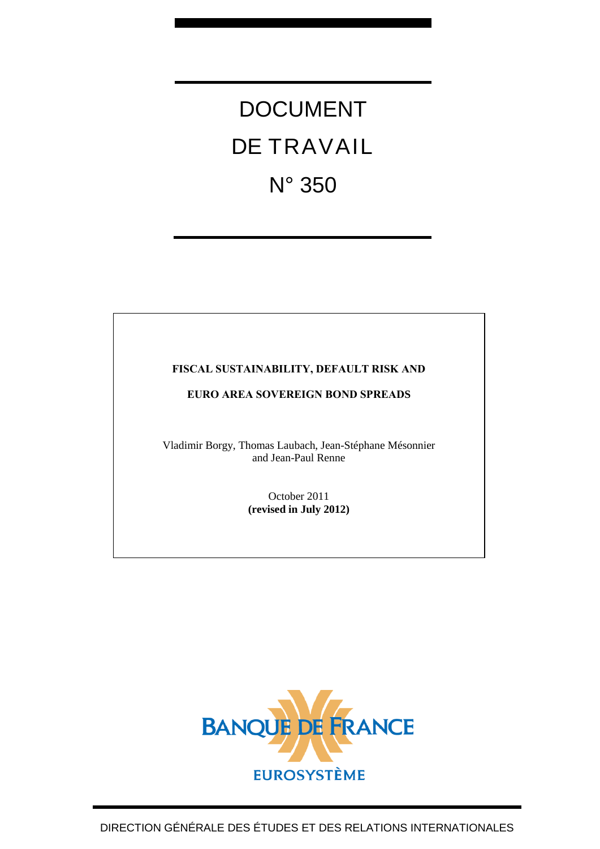# DOCUMENT DE TRAVAIL N° 350

## **FISCAL SUSTAINABILITY, DEFAULT RISK AND**

## **EURO AREA SOVEREIGN BOND SPREADS**

Vladimir Borgy, Thomas Laubach, Jean-Stéphane Mésonnier and Jean-Paul Renne

> October 2011 **(revised in July 2012)**

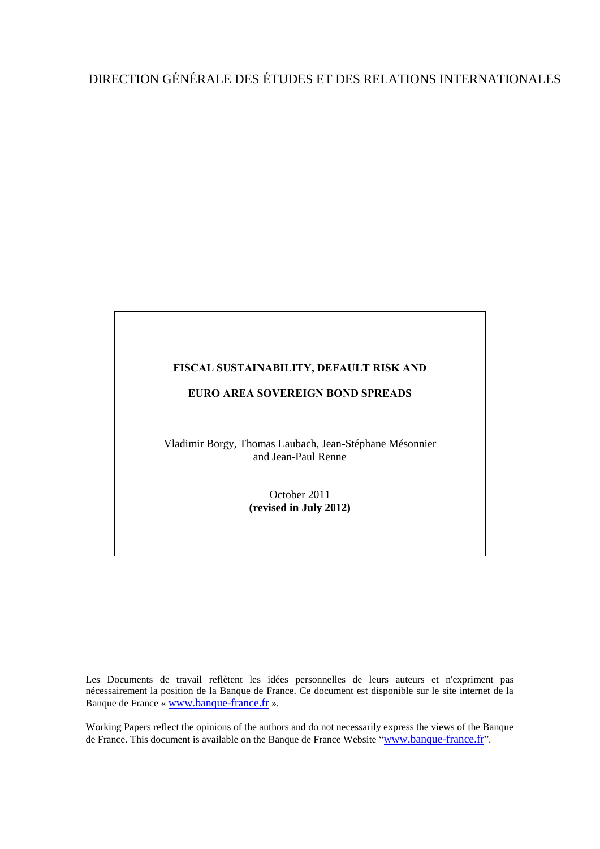## DIRECTION GÉNÉRALE DES ÉTUDES ET DES RELATIONS INTERNATIONALES

#### **FISCAL SUSTAINABILITY, DEFAULT RISK AND**

#### **EURO AREA SOVEREIGN BOND SPREADS**

Vladimir Borgy, Thomas Laubach, Jean-Stéphane Mésonnier and Jean-Paul Renne

> October 2011 **(revised in July 2012)**

Les Documents de travail reflètent les idées personnelles de leurs auteurs et n'expriment pas nécessairement la position de la Banque de France. Ce document est disponible sur le site internet de la Banque de France « [www.banque-france.fr](http://www.banque-france.fr/) ».

Working Papers reflect the opinions of the authors and do not necessarily express the views of the Banque de France. This document is available on the Banque de France Website "[www.banque-france.fr](http://www.banque-france.fr/)".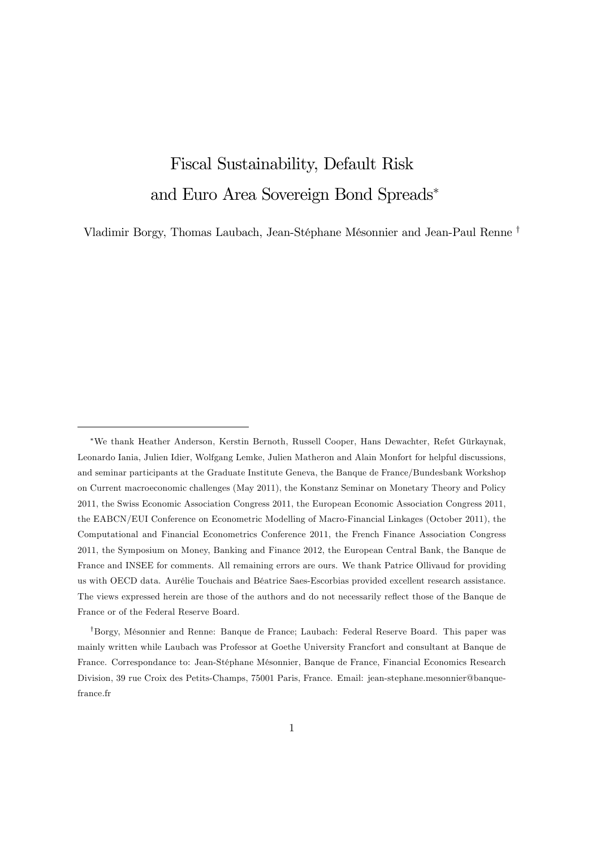## Fiscal Sustainability, Default Risk and Euro Area Sovereign Bond Spreads

Vladimir Borgy, Thomas Laubach, Jean-Stéphane Mésonnier and Jean-Paul Renne <sup>†</sup>

<sup>\*</sup>We thank Heather Anderson, Kerstin Bernoth, Russell Cooper, Hans Dewachter, Refet Gürkaynak, Leonardo Iania, Julien Idier, Wolfgang Lemke, Julien Matheron and Alain Monfort for helpful discussions, and seminar participants at the Graduate Institute Geneva, the Banque de France/Bundesbank Workshop on Current macroeconomic challenges (May 2011), the Konstanz Seminar on Monetary Theory and Policy 2011, the Swiss Economic Association Congress 2011, the European Economic Association Congress 2011, the EABCN/EUI Conference on Econometric Modelling of Macro-Financial Linkages (October 2011), the Computational and Financial Econometrics Conference 2011, the French Finance Association Congress 2011, the Symposium on Money, Banking and Finance 2012, the European Central Bank, the Banque de France and INSEE for comments. All remaining errors are ours. We thank Patrice Ollivaud for providing us with OECD data. Aurélie Touchais and Béatrice Saes-Escorbias provided excellent research assistance. The views expressed herein are those of the authors and do not necessarily reflect those of the Banque de France or of the Federal Reserve Board.

<sup>&</sup>lt;sup>†</sup>Borgy, Mésonnier and Renne: Banque de France; Laubach: Federal Reserve Board. This paper was mainly written while Laubach was Professor at Goethe University Francfort and consultant at Banque de France. Correspondance to: Jean-Stéphane Mésonnier, Banque de France, Financial Economics Research Division, 39 rue Croix des Petits-Champs, 75001 Paris, France. Email: jean-stephane.mesonnier@banquefrance.fr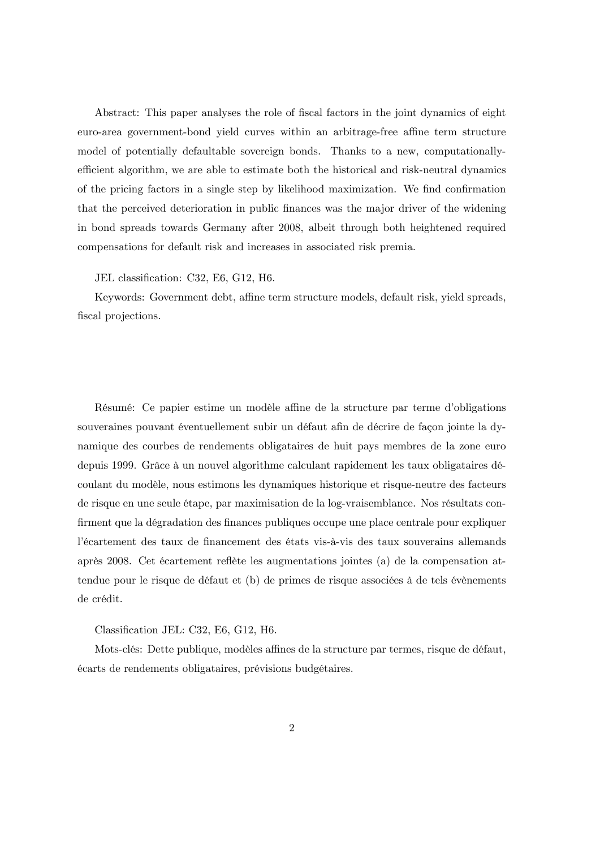Abstract: This paper analyses the role of fiscal factors in the joint dynamics of eight euro-area government-bond yield curves within an arbitrage-free affine term structure model of potentially defaultable sovereign bonds. Thanks to a new, computationallyefficient algorithm, we are able to estimate both the historical and risk-neutral dynamics of the pricing factors in a single step by likelihood maximization. We find confirmation that the perceived deterioration in public Önances was the major driver of the widening in bond spreads towards Germany after 2008, albeit through both heightened required compensations for default risk and increases in associated risk premia.

#### JEL classification: C32, E6, G12, H6.

Keywords: Government debt, affine term structure models, default risk, yield spreads, fiscal projections.

Résumé: Ce papier estime un modèle affine de la structure par terme d'obligations souveraines pouvant éventuellement subir un défaut afin de décrire de façon jointe la dynamique des courbes de rendements obligataires de huit pays membres de la zone euro depuis 1999. Grâce à un nouvel algorithme calculant rapidement les taux obligataires découlant du modËle, nous estimons les dynamiques historique et risque-neutre des facteurs de risque en une seule étape, par maximisation de la log-vraisemblance. Nos résultats con-Örment que la dÈgradation des Önances publiques occupe une place centrale pour expliquer l'écartement des taux de financement des états vis-à-vis des taux souverains allemands après 2008. Cet écartement reflète les augmentations jointes (a) de la compensation attendue pour le risque de défaut et (b) de primes de risque associées à de tels évènements de crédit.

Classification JEL: C32, E6, G12, H6.

Mots-clés: Dette publique, modèles affines de la structure par termes, risque de défaut, écarts de rendements obligataires, prévisions budgétaires.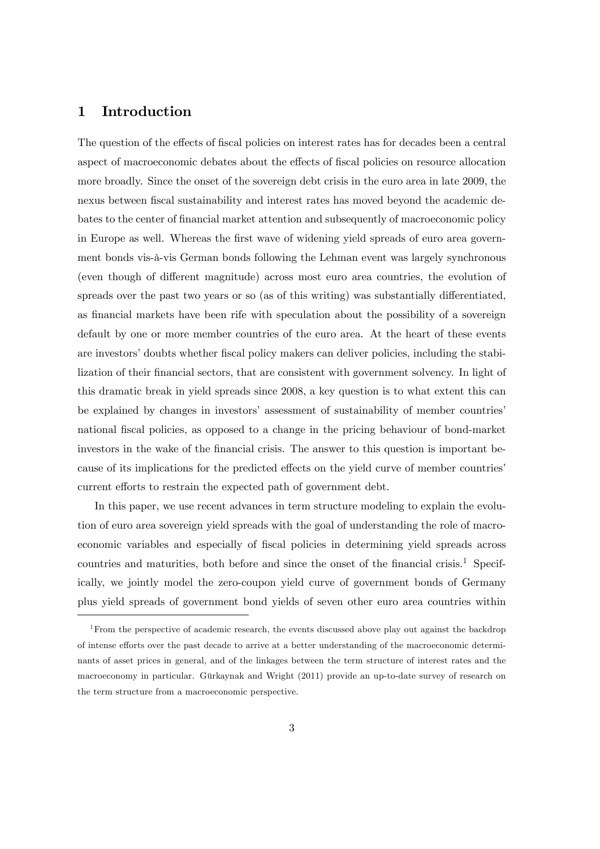### 1 Introduction

The question of the effects of fiscal policies on interest rates has for decades been a central aspect of macroeconomic debates about the effects of fiscal policies on resource allocation more broadly. Since the onset of the sovereign debt crisis in the euro area in late 2009, the nexus between fiscal sustainability and interest rates has moved beyond the academic debates to the center of Önancial market attention and subsequently of macroeconomic policy in Europe as well. Whereas the first wave of widening yield spreads of euro area government bonds vis-à-vis German bonds following the Lehman event was largely synchronous (even though of different magnitude) across most euro area countries, the evolution of spreads over the past two years or so (as of this writing) was substantially differentiated, as financial markets have been rife with speculation about the possibility of a sovereign default by one or more member countries of the euro area. At the heart of these events are investors' doubts whether fiscal policy makers can deliver policies, including the stabilization of their financial sectors, that are consistent with government solvency. In light of this dramatic break in yield spreads since 2008, a key question is to what extent this can be explained by changes in investors' assessment of sustainability of member countries' national fiscal policies, as opposed to a change in the pricing behaviour of bond-market investors in the wake of the financial crisis. The answer to this question is important because of its implications for the predicted effects on the yield curve of member countries' current efforts to restrain the expected path of government debt.

In this paper, we use recent advances in term structure modeling to explain the evolution of euro area sovereign yield spreads with the goal of understanding the role of macroeconomic variables and especially of fiscal policies in determining yield spreads across countries and maturities, both before and since the onset of the financial crisis.<sup>1</sup> Specifically, we jointly model the zero-coupon yield curve of government bonds of Germany plus yield spreads of government bond yields of seven other euro area countries within

<sup>&</sup>lt;sup>1</sup>From the perspective of academic research, the events discussed above play out against the backdrop of intense efforts over the past decade to arrive at a better understanding of the macroeconomic determinants of asset prices in general, and of the linkages between the term structure of interest rates and the macroeconomy in particular. Gürkaynak and Wright (2011) provide an up-to-date survey of research on the term structure from a macroeconomic perspective.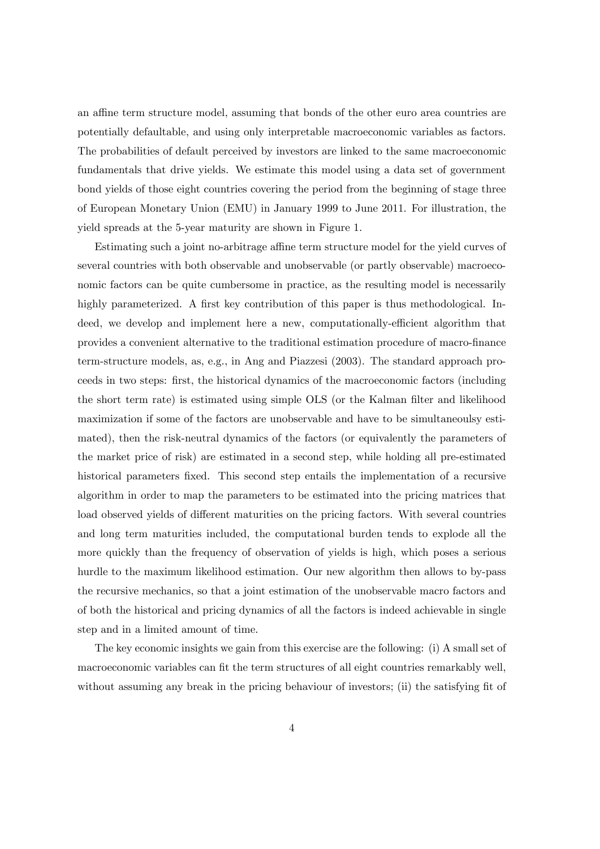an affine term structure model, assuming that bonds of the other euro area countries are potentially defaultable, and using only interpretable macroeconomic variables as factors. The probabilities of default perceived by investors are linked to the same macroeconomic fundamentals that drive yields. We estimate this model using a data set of government bond yields of those eight countries covering the period from the beginning of stage three of European Monetary Union (EMU) in January 1999 to June 2011. For illustration, the yield spreads at the 5-year maturity are shown in Figure 1.

Estimating such a joint no-arbitrage affine term structure model for the yield curves of several countries with both observable and unobservable (or partly observable) macroeconomic factors can be quite cumbersome in practice, as the resulting model is necessarily highly parameterized. A first key contribution of this paper is thus methodological. Indeed, we develop and implement here a new, computationally-efficient algorithm that provides a convenient alternative to the traditional estimation procedure of macro-Önance term-structure models, as, e.g., in Ang and Piazzesi (2003). The standard approach proceeds in two steps: Örst, the historical dynamics of the macroeconomic factors (including the short term rate) is estimated using simple OLS (or the Kalman filter and likelihood maximization if some of the factors are unobservable and have to be simultaneoulsy estimated), then the risk-neutral dynamics of the factors (or equivalently the parameters of the market price of risk) are estimated in a second step, while holding all pre-estimated historical parameters fixed. This second step entails the implementation of a recursive algorithm in order to map the parameters to be estimated into the pricing matrices that load observed yields of different maturities on the pricing factors. With several countries and long term maturities included, the computational burden tends to explode all the more quickly than the frequency of observation of yields is high, which poses a serious hurdle to the maximum likelihood estimation. Our new algorithm then allows to by-pass the recursive mechanics, so that a joint estimation of the unobservable macro factors and of both the historical and pricing dynamics of all the factors is indeed achievable in single step and in a limited amount of time.

The key economic insights we gain from this exercise are the following: (i) A small set of macroeconomic variables can fit the term structures of all eight countries remarkably well, without assuming any break in the pricing behaviour of investors; (ii) the satisfying fit of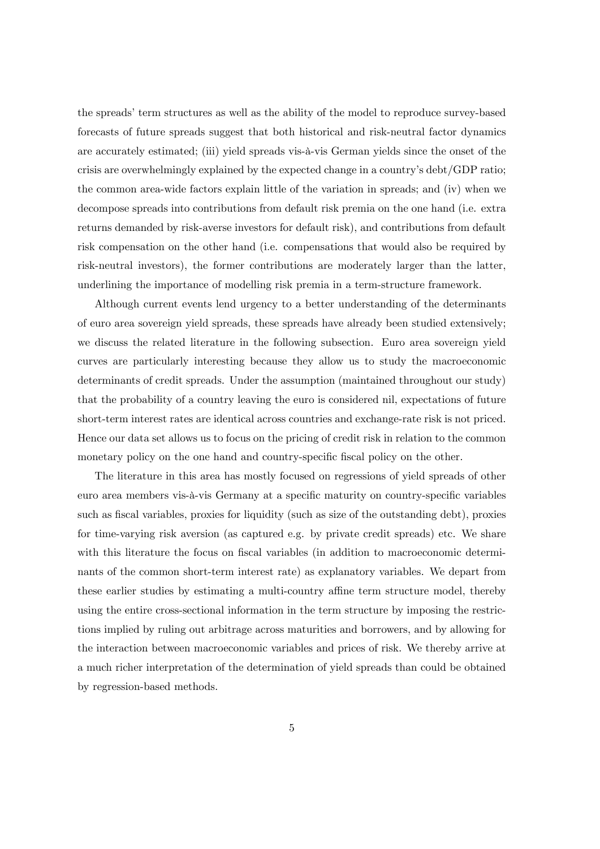the spreads' term structures as well as the ability of the model to reproduce survey-based forecasts of future spreads suggest that both historical and risk-neutral factor dynamics are accurately estimated; (iii) yield spreads vis-‡-vis German yields since the onset of the crisis are overwhelmingly explained by the expected change in a countryís debt/GDP ratio; the common area-wide factors explain little of the variation in spreads; and (iv) when we decompose spreads into contributions from default risk premia on the one hand (i.e. extra returns demanded by risk-averse investors for default risk), and contributions from default risk compensation on the other hand (i.e. compensations that would also be required by risk-neutral investors), the former contributions are moderately larger than the latter, underlining the importance of modelling risk premia in a term-structure framework.

Although current events lend urgency to a better understanding of the determinants of euro area sovereign yield spreads, these spreads have already been studied extensively; we discuss the related literature in the following subsection. Euro area sovereign yield curves are particularly interesting because they allow us to study the macroeconomic determinants of credit spreads. Under the assumption (maintained throughout our study) that the probability of a country leaving the euro is considered nil, expectations of future short-term interest rates are identical across countries and exchange-rate risk is not priced. Hence our data set allows us to focus on the pricing of credit risk in relation to the common monetary policy on the one hand and country-specific fiscal policy on the other.

The literature in this area has mostly focused on regressions of yield spreads of other euro area members vis-à-vis Germany at a specific maturity on country-specific variables such as fiscal variables, proxies for liquidity (such as size of the outstanding debt), proxies for time-varying risk aversion (as captured e.g. by private credit spreads) etc. We share with this literature the focus on fiscal variables (in addition to macroeconomic determinants of the common short-term interest rate) as explanatory variables. We depart from these earlier studies by estimating a multi-country affine term structure model, thereby using the entire cross-sectional information in the term structure by imposing the restrictions implied by ruling out arbitrage across maturities and borrowers, and by allowing for the interaction between macroeconomic variables and prices of risk. We thereby arrive at a much richer interpretation of the determination of yield spreads than could be obtained by regression-based methods.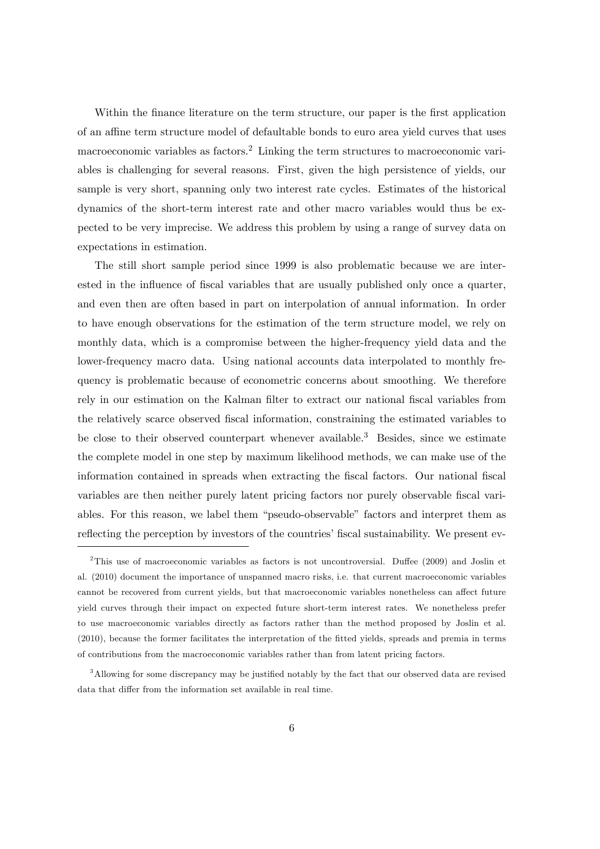Within the finance literature on the term structure, our paper is the first application of an affine term structure model of defaultable bonds to euro area yield curves that uses macroeconomic variables as factors.<sup>2</sup> Linking the term structures to macroeconomic variables is challenging for several reasons. First, given the high persistence of yields, our sample is very short, spanning only two interest rate cycles. Estimates of the historical dynamics of the short-term interest rate and other macro variables would thus be expected to be very imprecise. We address this problem by using a range of survey data on expectations in estimation.

The still short sample period since 1999 is also problematic because we are interested in the influence of fiscal variables that are usually published only once a quarter, and even then are often based in part on interpolation of annual information. In order to have enough observations for the estimation of the term structure model, we rely on monthly data, which is a compromise between the higher-frequency yield data and the lower-frequency macro data. Using national accounts data interpolated to monthly frequency is problematic because of econometric concerns about smoothing. We therefore rely in our estimation on the Kalman filter to extract our national fiscal variables from the relatively scarce observed Öscal information, constraining the estimated variables to be close to their observed counterpart whenever available.<sup>3</sup> Besides, since we estimate the complete model in one step by maximum likelihood methods, we can make use of the information contained in spreads when extracting the fiscal factors. Our national fiscal variables are then neither purely latent pricing factors nor purely observable fiscal variables. For this reason, we label them "pseudo-observable" factors and interpret them as reflecting the perception by investors of the countries' fiscal sustainability. We present ev-

<sup>&</sup>lt;sup>2</sup>This use of macroeconomic variables as factors is not uncontroversial. Duffee (2009) and Joslin et al. (2010) document the importance of unspanned macro risks, i.e. that current macroeconomic variables cannot be recovered from current yields, but that macroeconomic variables nonetheless can affect future yield curves through their impact on expected future short-term interest rates. We nonetheless prefer to use macroeconomic variables directly as factors rather than the method proposed by Joslin et al. (2010), because the former facilitates the interpretation of the Ötted yields, spreads and premia in terms of contributions from the macroeconomic variables rather than from latent pricing factors.

 $3$ Allowing for some discrepancy may be justified notably by the fact that our observed data are revised data that differ from the information set available in real time.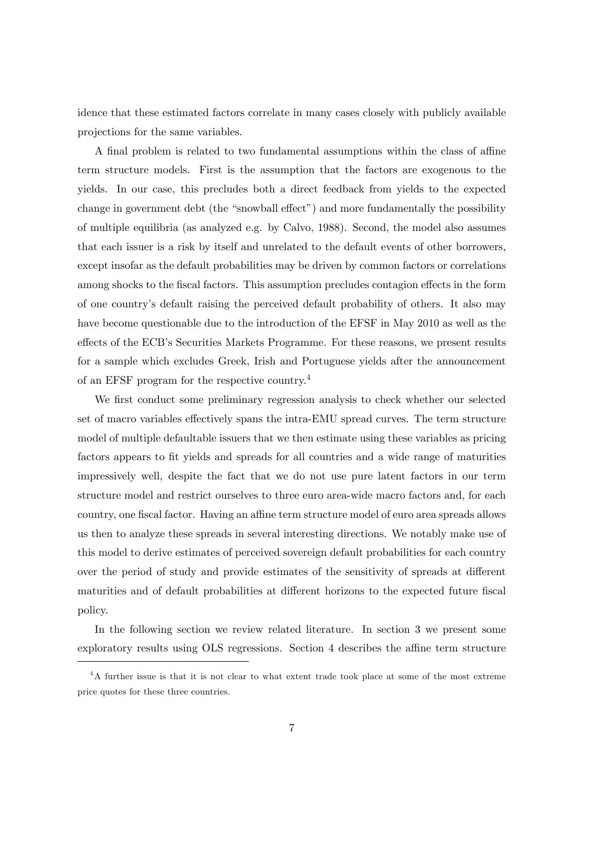idence that these estimated factors correlate in many cases closely with publicly available projections for the same variables.

A final problem is related to two fundamental assumptions within the class of affine term structure models. First is the assumption that the factors are exogenous to the yields. In our case, this precludes both a direct feedback from yields to the expected change in government debt (the "snowball effect") and more fundamentally the possibility of multiple equilibria (as analyzed e.g. by Calvo, 1988). Second, the model also assumes that each issuer is a risk by itself and unrelated to the default events of other borrowers, except insofar as the default probabilities may be driven by common factors or correlations among shocks to the fiscal factors. This assumption precludes contagion effects in the form of one countryís default raising the perceived default probability of others. It also may have become questionable due to the introduction of the EFSF in May 2010 as well as the effects of the ECB's Securities Markets Programme. For these reasons, we present results for a sample which excludes Greek, Irish and Portuguese yields after the announcement of an EFSF program for the respective country.<sup>4</sup>

We first conduct some preliminary regression analysis to check whether our selected set of macro variables effectively spans the intra-EMU spread curves. The term structure model of multiple defaultable issuers that we then estimate using these variables as pricing factors appears to fit yields and spreads for all countries and a wide range of maturities impressively well, despite the fact that we do not use pure latent factors in our term structure model and restrict ourselves to three euro area-wide macro factors and, for each country, one fiscal factor. Having an affine term structure model of euro area spreads allows us then to analyze these spreads in several interesting directions. We notably make use of this model to derive estimates of perceived sovereign default probabilities for each country over the period of study and provide estimates of the sensitivity of spreads at different maturities and of default probabilities at different horizons to the expected future fiscal policy.

In the following section we review related literature. In section 3 we present some exploratory results using OLS regressions. Section 4 describes the affine term structure

<sup>&</sup>lt;sup>4</sup>A further issue is that it is not clear to what extent trade took place at some of the most extreme price quotes for these three countries.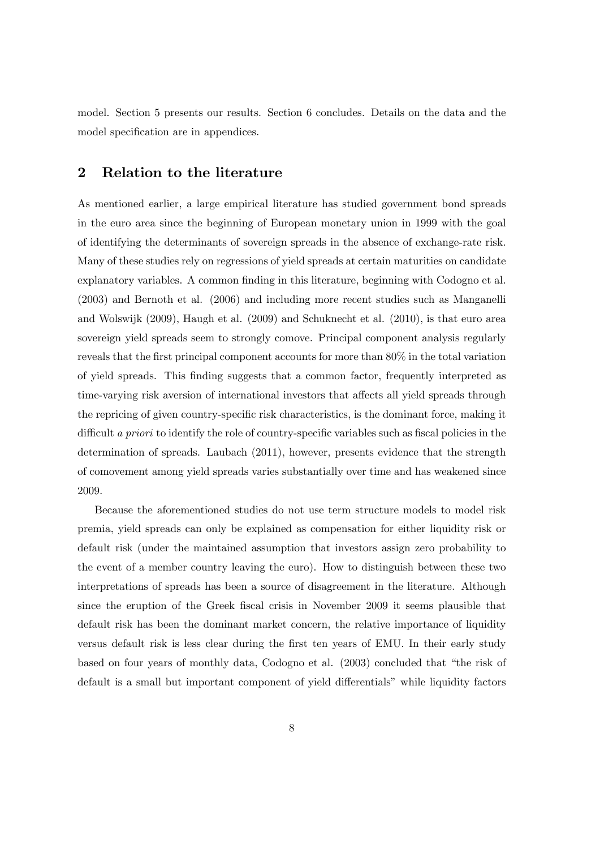model. Section 5 presents our results. Section 6 concludes. Details on the data and the model specification are in appendices.

## 2 Relation to the literature

As mentioned earlier, a large empirical literature has studied government bond spreads in the euro area since the beginning of European monetary union in 1999 with the goal of identifying the determinants of sovereign spreads in the absence of exchange-rate risk. Many of these studies rely on regressions of yield spreads at certain maturities on candidate explanatory variables. A common finding in this literature, beginning with Codogno et al. (2003) and Bernoth et al. (2006) and including more recent studies such as Manganelli and Wolswijk (2009), Haugh et al. (2009) and Schuknecht et al. (2010), is that euro area sovereign yield spreads seem to strongly comove. Principal component analysis regularly reveals that the first principal component accounts for more than  $80\%$  in the total variation of yield spreads. This Önding suggests that a common factor, frequently interpreted as time-varying risk aversion of international investors that affects all yield spreads through the repricing of given country-specific risk characteristics, is the dominant force, making it difficult a priori to identify the role of country-specific variables such as fiscal policies in the determination of spreads. Laubach (2011), however, presents evidence that the strength of comovement among yield spreads varies substantially over time and has weakened since 2009.

Because the aforementioned studies do not use term structure models to model risk premia, yield spreads can only be explained as compensation for either liquidity risk or default risk (under the maintained assumption that investors assign zero probability to the event of a member country leaving the euro). How to distinguish between these two interpretations of spreads has been a source of disagreement in the literature. Although since the eruption of the Greek Öscal crisis in November 2009 it seems plausible that default risk has been the dominant market concern, the relative importance of liquidity versus default risk is less clear during the first ten years of EMU. In their early study based on four years of monthly data, Codogno et al. (2003) concluded that "the risk of default is a small but important component of yield differentials" while liquidity factors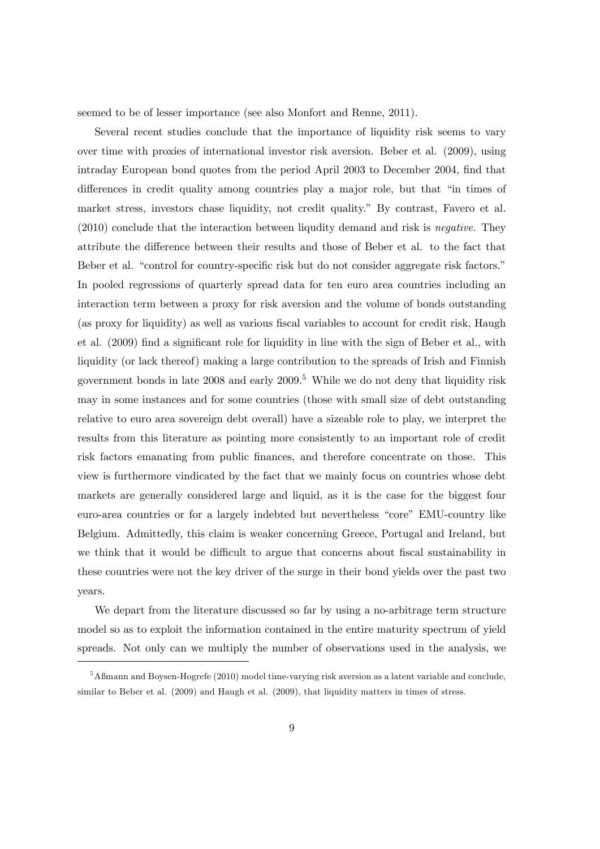seemed to be of lesser importance (see also Monfort and Renne, 2011).

Several recent studies conclude that the importance of liquidity risk seems to vary over time with proxies of international investor risk aversion. Beber et al. (2009), using intraday European bond quotes from the period April 2003 to December 2004, find that differences in credit quality among countries play a major role, but that "in times of market stress, investors chase liquidity, not credit quality.î By contrast, Favero et al.  $(2010)$  conclude that the interaction between liqudity demand and risk is *negative*. They attribute the difference between their results and those of Beber et al. to the fact that Beber et al. "control for country-specific risk but do not consider aggregate risk factors." In pooled regressions of quarterly spread data for ten euro area countries including an interaction term between a proxy for risk aversion and the volume of bonds outstanding (as proxy for liquidity) as well as various fiscal variables to account for credit risk, Haugh et al. (2009) find a significant role for liquidity in line with the sign of Beber et al., with liquidity (or lack thereof) making a large contribution to the spreads of Irish and Finnish government bonds in late  $2008$  and early  $2009$ .<sup>5</sup> While we do not deny that liquidity risk may in some instances and for some countries (those with small size of debt outstanding relative to euro area sovereign debt overall) have a sizeable role to play, we interpret the results from this literature as pointing more consistently to an important role of credit risk factors emanating from public finances, and therefore concentrate on those. This view is furthermore vindicated by the fact that we mainly focus on countries whose debt markets are generally considered large and liquid, as it is the case for the biggest four euro-area countries or for a largely indebted but nevertheless "core" EMU-country like Belgium. Admittedly, this claim is weaker concerning Greece, Portugal and Ireland, but we think that it would be difficult to argue that concerns about fiscal sustainability in these countries were not the key driver of the surge in their bond yields over the past two years.

We depart from the literature discussed so far by using a no-arbitrage term structure model so as to exploit the information contained in the entire maturity spectrum of yield spreads. Not only can we multiply the number of observations used in the analysis, we

 $5A\$ fmann and Boysen-Hogrefe (2010) model time-varying risk aversion as a latent variable and conclude, similar to Beber et al. (2009) and Haugh et al. (2009), that liquidity matters in times of stress.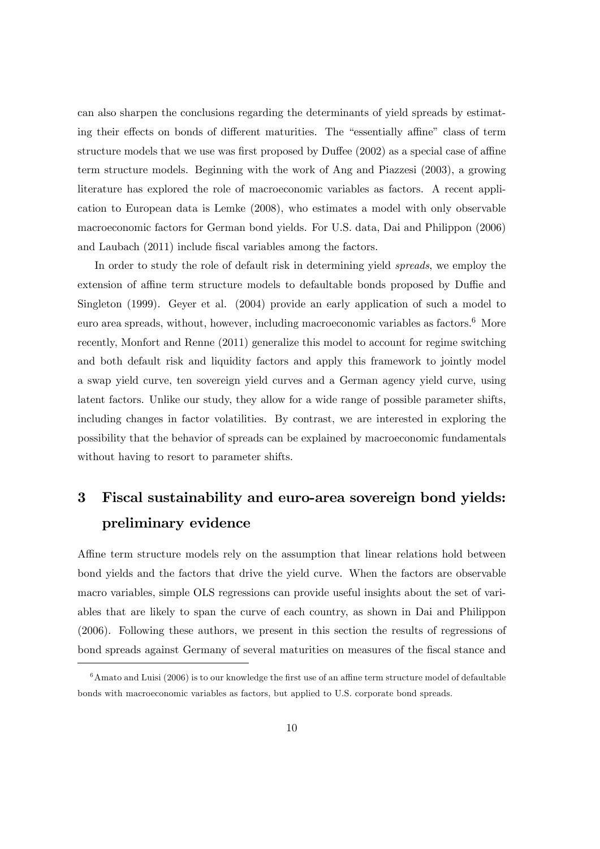can also sharpen the conclusions regarding the determinants of yield spreads by estimating their effects on bonds of different maturities. The "essentially affine" class of term structure models that we use was first proposed by Duffee  $(2002)$  as a special case of affine term structure models. Beginning with the work of Ang and Piazzesi (2003), a growing literature has explored the role of macroeconomic variables as factors. A recent application to European data is Lemke (2008), who estimates a model with only observable macroeconomic factors for German bond yields. For U.S. data, Dai and Philippon (2006) and Laubach (2011) include fiscal variables among the factors.

In order to study the role of default risk in determining yield *spreads*, we employ the extension of affine term structure models to defaultable bonds proposed by Duffie and Singleton (1999). Geyer et al. (2004) provide an early application of such a model to euro area spreads, without, however, including macroeconomic variables as factors.<sup>6</sup> More recently, Monfort and Renne (2011) generalize this model to account for regime switching and both default risk and liquidity factors and apply this framework to jointly model a swap yield curve, ten sovereign yield curves and a German agency yield curve, using latent factors. Unlike our study, they allow for a wide range of possible parameter shifts, including changes in factor volatilities. By contrast, we are interested in exploring the possibility that the behavior of spreads can be explained by macroeconomic fundamentals without having to resort to parameter shifts.

## 3 Fiscal sustainability and euro-area sovereign bond yields: preliminary evidence

Affine term structure models rely on the assumption that linear relations hold between bond yields and the factors that drive the yield curve. When the factors are observable macro variables, simple OLS regressions can provide useful insights about the set of variables that are likely to span the curve of each country, as shown in Dai and Philippon (2006). Following these authors, we present in this section the results of regressions of bond spreads against Germany of several maturities on measures of the fiscal stance and

 $6$ Amato and Luisi (2006) is to our knowledge the first use of an affine term structure model of defaultable bonds with macroeconomic variables as factors, but applied to U.S. corporate bond spreads.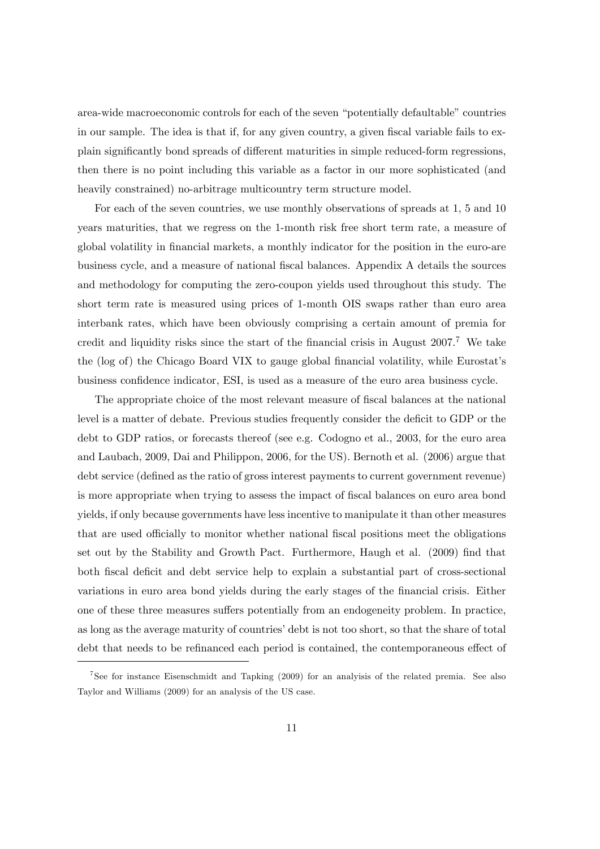area-wide macroeconomic controls for each of the seven "potentially defaultable" countries in our sample. The idea is that if, for any given country, a given fiscal variable fails to explain significantly bond spreads of different maturities in simple reduced-form regressions, then there is no point including this variable as a factor in our more sophisticated (and heavily constrained) no-arbitrage multicountry term structure model.

For each of the seven countries, we use monthly observations of spreads at 1, 5 and 10 years maturities, that we regress on the 1-month risk free short term rate, a measure of global volatility in financial markets, a monthly indicator for the position in the euro-are business cycle, and a measure of national Öscal balances. Appendix A details the sources and methodology for computing the zero-coupon yields used throughout this study. The short term rate is measured using prices of 1-month OIS swaps rather than euro area interbank rates, which have been obviously comprising a certain amount of premia for credit and liquidity risks since the start of the financial crisis in August  $2007$ .<sup>7</sup> We take the (log of) the Chicago Board VIX to gauge global financial volatility, while Eurostat's business confidence indicator, ESI, is used as a measure of the euro area business cycle.

The appropriate choice of the most relevant measure of fiscal balances at the national level is a matter of debate. Previous studies frequently consider the deficit to GDP or the debt to GDP ratios, or forecasts thereof (see e.g. Codogno et al., 2003, for the euro area and Laubach, 2009, Dai and Philippon, 2006, for the US). Bernoth et al. (2006) argue that debt service (defined as the ratio of gross interest payments to current government revenue) is more appropriate when trying to assess the impact of Öscal balances on euro area bond yields, if only because governments have less incentive to manipulate it than other measures that are used officially to monitor whether national fiscal positions meet the obligations set out by the Stability and Growth Pact. Furthermore, Haugh et al. (2009) find that both fiscal deficit and debt service help to explain a substantial part of cross-sectional variations in euro area bond yields during the early stages of the financial crisis. Either one of these three measures suffers potentially from an endogeneity problem. In practice, as long as the average maturity of countries' debt is not too short, so that the share of total debt that needs to be refinanced each period is contained, the contemporaneous effect of

<sup>7</sup> See for instance Eisenschmidt and Tapking (2009) for an analyisis of the related premia. See also Taylor and Williams (2009) for an analysis of the US case.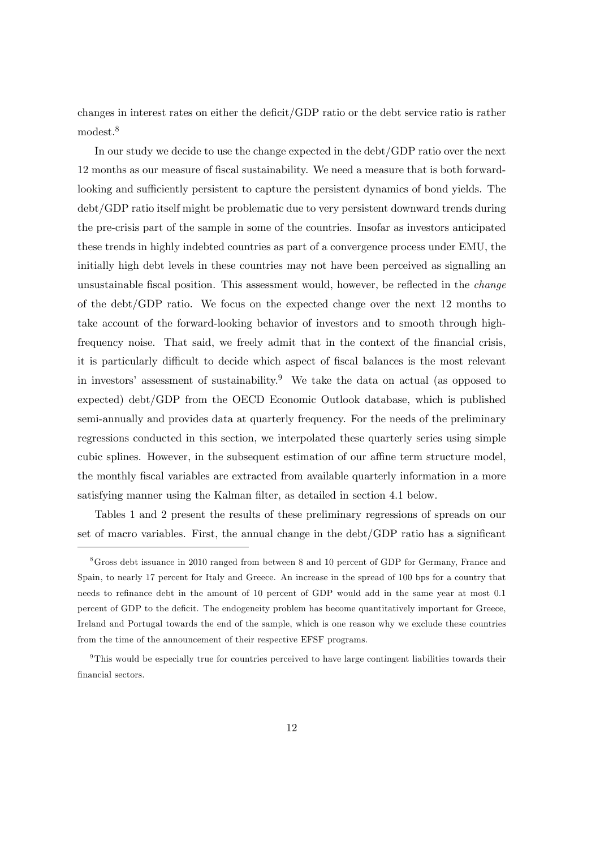changes in interest rates on either the deficit/GDP ratio or the debt service ratio is rather modest.<sup>8</sup>

In our study we decide to use the change expected in the debt/GDP ratio over the next 12 months as our measure of Öscal sustainability. We need a measure that is both forwardlooking and sufficiently persistent to capture the persistent dynamics of bond yields. The debt/GDP ratio itself might be problematic due to very persistent downward trends during the pre-crisis part of the sample in some of the countries. Insofar as investors anticipated these trends in highly indebted countries as part of a convergence process under EMU, the initially high debt levels in these countries may not have been perceived as signalling an unsustainable fiscal position. This assessment would, however, be reflected in the *change* of the debt/GDP ratio. We focus on the expected change over the next 12 months to take account of the forward-looking behavior of investors and to smooth through highfrequency noise. That said, we freely admit that in the context of the financial crisis, it is particularly difficult to decide which aspect of fiscal balances is the most relevant in investors' assessment of sustainability.<sup>9</sup> We take the data on actual (as opposed to expected) debt/GDP from the OECD Economic Outlook database, which is published semi-annually and provides data at quarterly frequency. For the needs of the preliminary regressions conducted in this section, we interpolated these quarterly series using simple cubic splines. However, in the subsequent estimation of our affine term structure model, the monthly fiscal variables are extracted from available quarterly information in a more satisfying manner using the Kalman filter, as detailed in section 4.1 below.

Tables 1 and 2 present the results of these preliminary regressions of spreads on our set of macro variables. First, the annual change in the  $\text{debt}/\text{GDP}$  ratio has a significant

<sup>8</sup>Gross debt issuance in 2010 ranged from between 8 and 10 percent of GDP for Germany, France and Spain, to nearly 17 percent for Italy and Greece. An increase in the spread of 100 bps for a country that needs to refinance debt in the amount of 10 percent of GDP would add in the same year at most 0.1 percent of GDP to the deficit. The endogeneity problem has become quantitatively important for Greece, Ireland and Portugal towards the end of the sample, which is one reason why we exclude these countries from the time of the announcement of their respective EFSF programs.

<sup>9</sup>This would be especially true for countries perceived to have large contingent liabilities towards their financial sectors.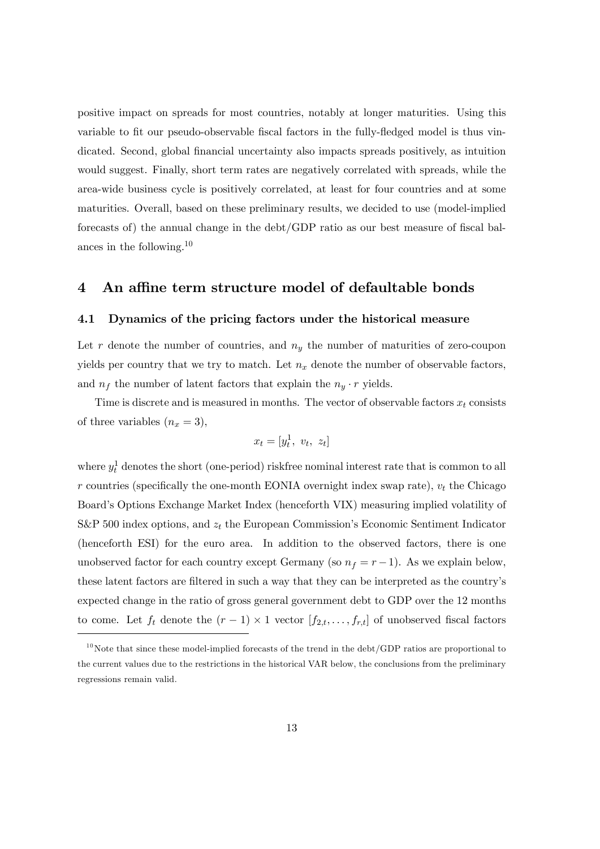positive impact on spreads for most countries, notably at longer maturities. Using this variable to fit our pseudo-observable fiscal factors in the fully-fledged model is thus vindicated. Second, global Önancial uncertainty also impacts spreads positively, as intuition would suggest. Finally, short term rates are negatively correlated with spreads, while the area-wide business cycle is positively correlated, at least for four countries and at some maturities. Overall, based on these preliminary results, we decided to use (model-implied forecasts of) the annual change in the  $\text{debt}/\text{GDP}$  ratio as our best measure of fiscal balances in the following.<sup>10</sup>

#### 4 An affine term structure model of defaultable bonds

#### 4.1 Dynamics of the pricing factors under the historical measure

Let r denote the number of countries, and  $n_y$  the number of maturities of zero-coupon yields per country that we try to match. Let  $n_x$  denote the number of observable factors, and  $n_f$  the number of latent factors that explain the  $n_y \cdot r$  yields.

Time is discrete and is measured in months. The vector of observable factors  $x_t$  consists of three variables  $(n_x = 3)$ ,

$$
x_t = [y_t^1, v_t, z_t]
$$

where  $y_t^1$  denotes the short (one-period) riskfree nominal interest rate that is common to all r countries (specifically the one-month EONIA overnight index swap rate),  $v_t$  the Chicago Board's Options Exchange Market Index (henceforth VIX) measuring implied volatility of S&P 500 index options, and  $z_t$  the European Commission's Economic Sentiment Indicator (henceforth ESI) for the euro area. In addition to the observed factors, there is one unobserved factor for each country except Germany (so  $n_f = r - 1$ ). As we explain below, these latent factors are filtered in such a way that they can be interpreted as the country's expected change in the ratio of gross general government debt to GDP over the 12 months to come. Let  $f_t$  denote the  $(r-1) \times 1$  vector  $[f_{2,t},...,f_{r,t}]$  of unobserved fiscal factors

 $10$ Note that since these model-implied forecasts of the trend in the debt/GDP ratios are proportional to the current values due to the restrictions in the historical VAR below, the conclusions from the preliminary regressions remain valid.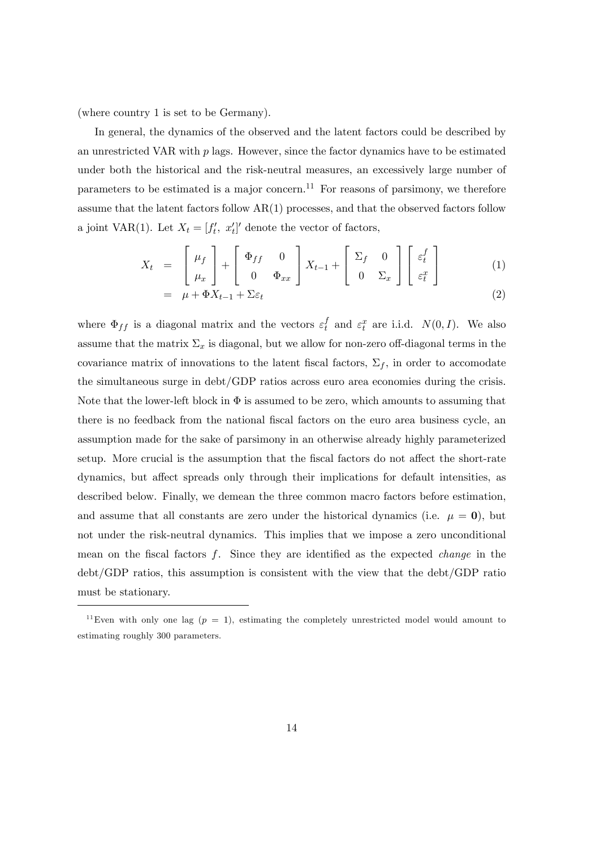(where country 1 is set to be Germany).

In general, the dynamics of the observed and the latent factors could be described by an unrestricted VAR with  $p$  lags. However, since the factor dynamics have to be estimated under both the historical and the risk-neutral measures, an excessively large number of parameters to be estimated is a major concern.<sup>11</sup> For reasons of parsimony, we therefore assume that the latent factors follow  $AR(1)$  processes, and that the observed factors follow a joint VAR(1). Let  $X_t = [f'_t, x'_t]'$  denote the vector of factors,

$$
X_t = \begin{bmatrix} \mu_f \\ \mu_x \end{bmatrix} + \begin{bmatrix} \Phi_{ff} & 0 \\ 0 & \Phi_{xx} \end{bmatrix} X_{t-1} + \begin{bmatrix} \Sigma_f & 0 \\ 0 & \Sigma_x \end{bmatrix} \begin{bmatrix} \varepsilon_t^f \\ \varepsilon_t^x \end{bmatrix}
$$
(1)  
=  $\mu + \Phi X_{t-1} + \Sigma \varepsilon_t$  (2)

where  $\Phi_{ff}$  is a diagonal matrix and the vectors  $\varepsilon_t^f$  $t_t^f$  and  $\varepsilon_t^x$  are i.i.d.  $N(0,I)$ . We also assume that the matrix  $\Sigma_x$  is diagonal, but we allow for non-zero off-diagonal terms in the covariance matrix of innovations to the latent fiscal factors,  $\Sigma_f$ , in order to accomodate the simultaneous surge in debt/GDP ratios across euro area economies during the crisis. Note that the lower-left block in  $\Phi$  is assumed to be zero, which amounts to assuming that there is no feedback from the national fiscal factors on the euro area business cycle, an assumption made for the sake of parsimony in an otherwise already highly parameterized setup. More crucial is the assumption that the fiscal factors do not affect the short-rate dynamics, but affect spreads only through their implications for default intensities, as described below. Finally, we demean the three common macro factors before estimation, and assume that all constants are zero under the historical dynamics (i.e.  $\mu = 0$ ), but not under the risk-neutral dynamics. This implies that we impose a zero unconditional mean on the fiscal factors f. Since they are identified as the expected *change* in the debt/GDP ratios, this assumption is consistent with the view that the debt/GDP ratio must be stationary.

<sup>&</sup>lt;sup>11</sup>Even with only one lag  $(p = 1)$ , estimating the completely unrestricted model would amount to estimating roughly 300 parameters.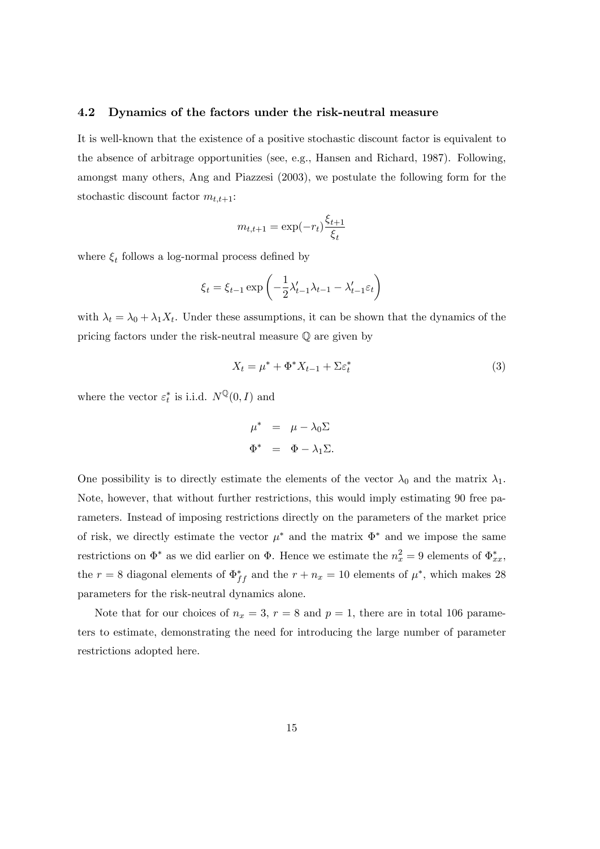#### 4.2 Dynamics of the factors under the risk-neutral measure

It is well-known that the existence of a positive stochastic discount factor is equivalent to the absence of arbitrage opportunities (see, e.g., Hansen and Richard, 1987). Following, amongst many others, Ang and Piazzesi (2003), we postulate the following form for the stochastic discount factor  $m_{t,t+1}$ :

$$
m_{t,t+1} = \exp(-r_t) \frac{\xi_{t+1}}{\xi_t}
$$

where  $\xi_t$  follows a log-normal process defined by

$$
\xi_t = \xi_{t-1} \exp\left(-\frac{1}{2}\lambda'_{t-1}\lambda_{t-1} - \lambda'_{t-1}\varepsilon_t\right)
$$

with  $\lambda_t = \lambda_0 + \lambda_1 X_t$ . Under these assumptions, it can be shown that the dynamics of the pricing factors under the risk-neutral measure Q are given by

$$
X_t = \mu^* + \Phi^* X_{t-1} + \Sigma \varepsilon_t^* \tag{3}
$$

where the vector  $\varepsilon_t^*$  is i.i.d.  $N^{\mathbb{Q}}(0, I)$  and

$$
\mu^* = \mu - \lambda_0 \Sigma
$$
  

$$
\Phi^* = \Phi - \lambda_1 \Sigma.
$$

One possibility is to directly estimate the elements of the vector  $\lambda_0$  and the matrix  $\lambda_1$ . Note, however, that without further restrictions, this would imply estimating 90 free parameters. Instead of imposing restrictions directly on the parameters of the market price of risk, we directly estimate the vector  $\mu^*$  and the matrix  $\Phi^*$  and we impose the same restrictions on  $\Phi^*$  as we did earlier on  $\Phi$ . Hence we estimate the  $n_x^2 = 9$  elements of  $\Phi_{xx}^*$ , the  $r = 8$  diagonal elements of  $\Phi_{ff}^*$  and the  $r + n_x = 10$  elements of  $\mu^*$ , which makes 28 parameters for the risk-neutral dynamics alone.

Note that for our choices of  $n_x = 3$ ,  $r = 8$  and  $p = 1$ , there are in total 106 parameters to estimate, demonstrating the need for introducing the large number of parameter restrictions adopted here.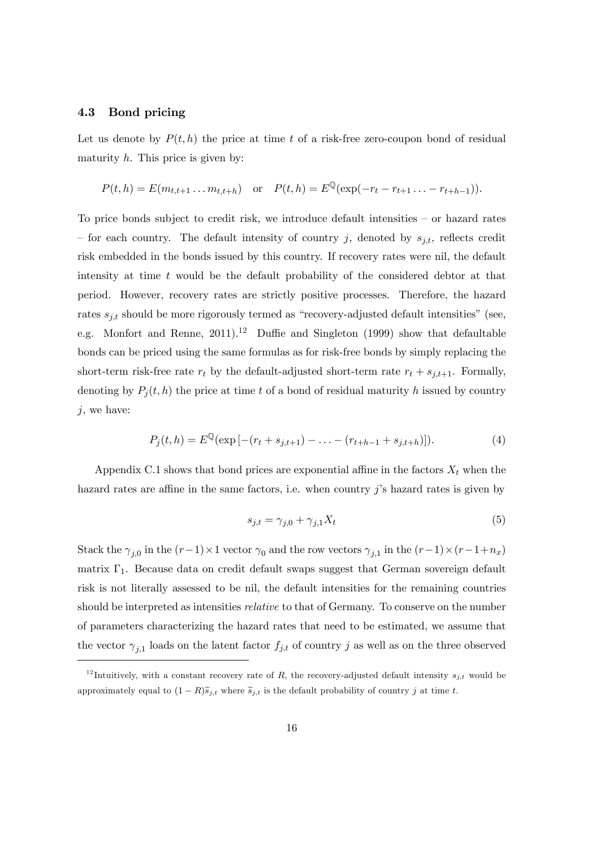#### 4.3 Bond pricing

Let us denote by  $P(t, h)$  the price at time t of a risk-free zero-coupon bond of residual maturity  $h$ . This price is given by:

$$
P(t, h) = E(m_{t,t+1} \dots m_{t,t+h})
$$
 or  $P(t, h) = E^{\mathbb{Q}}(\exp(-r_t - r_{t+1} \dots - r_{t+h-1})).$ 

To price bonds subject to credit risk, we introduce default intensities  $-$  or hazard rates – for each country. The default intensity of country j, denoted by  $s_{i,t}$ , reflects credit risk embedded in the bonds issued by this country. If recovery rates were nil, the default intensity at time t would be the default probability of the considered debtor at that period. However, recovery rates are strictly positive processes. Therefore, the hazard rates  $s_{i,t}$  should be more rigorously termed as "recovery-adjusted default intensities" (see, e.g. Monfort and Renne,  $2011$ .<sup>12</sup> Duffie and Singleton (1999) show that defaultable bonds can be priced using the same formulas as for risk-free bonds by simply replacing the short-term risk-free rate  $r_t$  by the default-adjusted short-term rate  $r_t + s_{j,t+1}$ . Formally, denoting by  $P_i(t, h)$  the price at time t of a bond of residual maturity h issued by country  $j$ , we have:

$$
P_j(t, h) = E^{\mathbb{Q}}(\exp[-(r_t + s_{j,t+1}) - \dots - (r_{t+h-1} + s_{j,t+h})]). \tag{4}
$$

Appendix C.1 shows that bond prices are exponential affine in the factors  $X_t$  when the hazard rates are affine in the same factors, i.e. when country  $j$ 's hazard rates is given by

$$
s_{j,t} = \gamma_{j,0} + \gamma_{j,1} X_t \tag{5}
$$

Stack the  $\gamma_{j,0}$  in the  $(r-1) \times 1$  vector  $\gamma_0$  and the row vectors  $\gamma_{j,1}$  in the  $(r-1) \times (r-1+n_x)$ matrix  $\Gamma_1$ . Because data on credit default swaps suggest that German sovereign default risk is not literally assessed to be nil, the default intensities for the remaining countries should be interpreted as intensities relative to that of Germany. To conserve on the number of parameters characterizing the hazard rates that need to be estimated, we assume that the vector  $\gamma_{j,1}$  loads on the latent factor  $f_{j,t}$  of country j as well as on the three observed

<sup>&</sup>lt;sup>12</sup>Intuitively, with a constant recovery rate of R, the recovery-adjusted default intensity  $s_{j,t}$  would be approximately equal to  $(1 - R)\tilde{s}_{j,t}$  where  $\tilde{s}_{j,t}$  is the default probability of country j at time t.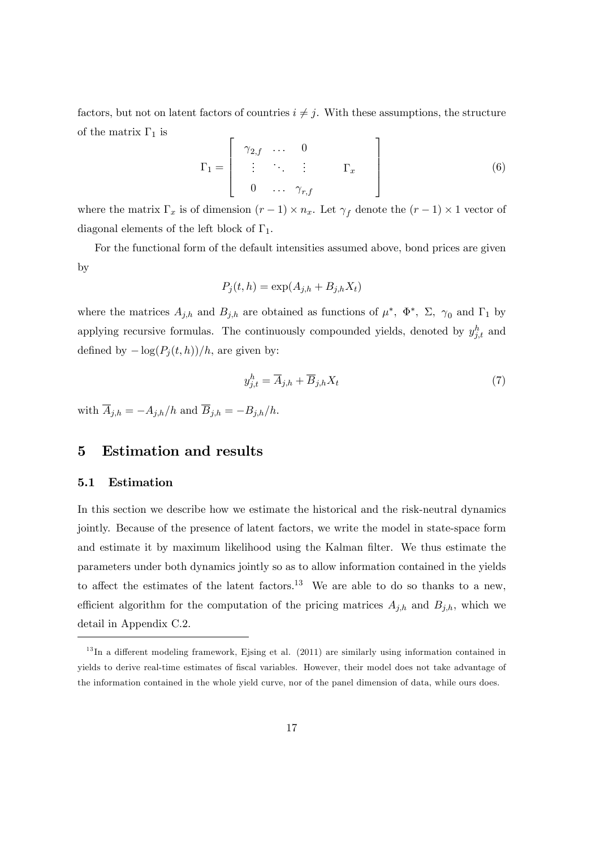factors, but not on latent factors of countries  $i \neq j$ . With these assumptions, the structure of the matrix  $\Gamma_1$  is

$$
\Gamma_1 = \left[ \begin{array}{cccc} \gamma_{2,f} & \dots & 0 \\ \vdots & \ddots & \vdots \\ 0 & \dots & \gamma_{r,f} \end{array} \right]
$$
 (6)

where the matrix  $\Gamma_x$  is of dimension  $(r-1) \times n_x$ . Let  $\gamma_f$  denote the  $(r-1) \times 1$  vector of diagonal elements of the left block of  $\Gamma_1$ .

For the functional form of the default intensities assumed above, bond prices are given by

$$
P_j(t, h) = \exp(A_{j,h} + B_{j,h} X_t)
$$

where the matrices  $A_{j,h}$  and  $B_{j,h}$  are obtained as functions of  $\mu^*, \Phi^*, \Sigma, \gamma_0$  and  $\Gamma_1$  by applying recursive formulas. The continuously compounded yields, denoted by  $y_{j,t}^h$  and defined by  $-\log(P_j(t, h))/h$ , are given by:

$$
y_{j,t}^h = \overline{A}_{j,h} + \overline{B}_{j,h} X_t \tag{7}
$$

with  $\overline{A}_{j,h} = -A_{j,h}/h$  and  $\overline{B}_{j,h} = -B_{j,h}/h$ .

## 5 Estimation and results

#### 5.1 Estimation

In this section we describe how we estimate the historical and the risk-neutral dynamics jointly. Because of the presence of latent factors, we write the model in state-space form and estimate it by maximum likelihood using the Kalman Ölter. We thus estimate the parameters under both dynamics jointly so as to allow information contained in the yields to affect the estimates of the latent factors.<sup>13</sup> We are able to do so thanks to a new, efficient algorithm for the computation of the pricing matrices  $A_{j,h}$  and  $B_{j,h}$ , which we detail in Appendix C.2.

 $13$ In a different modeling framework, Ejsing et al. (2011) are similarly using information contained in yields to derive real-time estimates of fiscal variables. However, their model does not take advantage of the information contained in the whole yield curve, nor of the panel dimension of data, while ours does.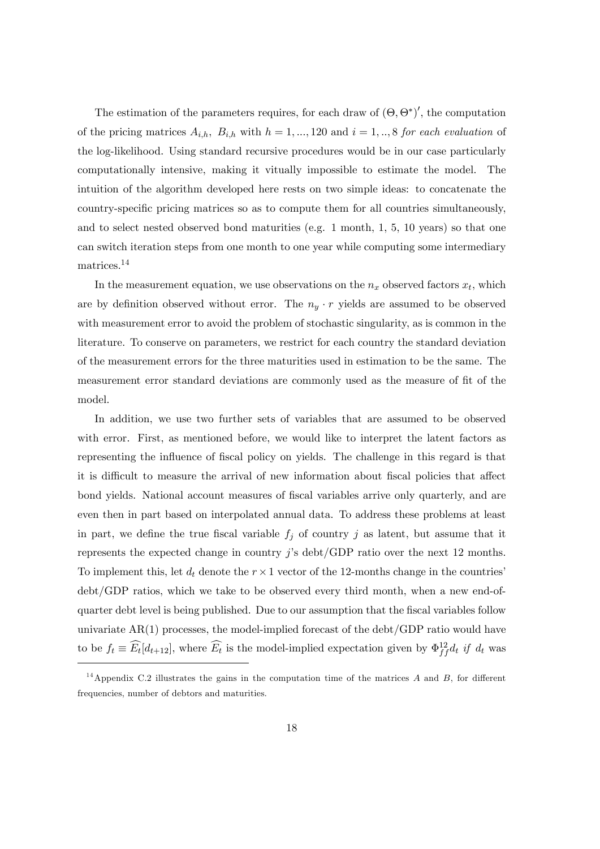The estimation of the parameters requires, for each draw of  $(\Theta, \Theta^*)'$ , the computation of the pricing matrices  $A_{i,h}$ ,  $B_{i,h}$  with  $h = 1, ..., 120$  and  $i = 1, ..., 8$  for each evaluation of the log-likelihood. Using standard recursive procedures would be in our case particularly computationally intensive, making it vitually impossible to estimate the model. The intuition of the algorithm developed here rests on two simple ideas: to concatenate the country-specific pricing matrices so as to compute them for all countries simultaneously, and to select nested observed bond maturities (e.g. 1 month, 1, 5, 10 years) so that one can switch iteration steps from one month to one year while computing some intermediary matrices.<sup>14</sup>

In the measurement equation, we use observations on the  $n_x$  observed factors  $x_t$ , which are by definition observed without error. The  $n_y \cdot r$  yields are assumed to be observed with measurement error to avoid the problem of stochastic singularity, as is common in the literature. To conserve on parameters, we restrict for each country the standard deviation of the measurement errors for the three maturities used in estimation to be the same. The measurement error standard deviations are commonly used as the measure of fit of the model.

In addition, we use two further sets of variables that are assumed to be observed with error. First, as mentioned before, we would like to interpret the latent factors as representing the influence of fiscal policy on yields. The challenge in this regard is that it is difficult to measure the arrival of new information about fiscal policies that affect bond yields. National account measures of fiscal variables arrive only quarterly, and are even then in part based on interpolated annual data. To address these problems at least in part, we define the true fiscal variable  $f_j$  of country j as latent, but assume that it represents the expected change in country  $j$ 's debt/GDP ratio over the next 12 months. To implement this, let  $d_t$  denote the  $r \times 1$  vector of the 12-months change in the countries' debt/GDP ratios, which we take to be observed every third month, when a new end-ofquarter debt level is being published. Due to our assumption that the fiscal variables follow univariate AR(1) processes, the model-implied forecast of the debt/GDP ratio would have to be  $f_t \equiv \widehat{E_t}[d_{t+12}]$ , where  $\widehat{E_t}$  is the model-implied expectation given by  $\Phi_{ff}^{12}d_t$  if  $d_t$  was

<sup>&</sup>lt;sup>14</sup> Appendix C.2 illustrates the gains in the computation time of the matrices  $A$  and  $B$ , for different frequencies, number of debtors and maturities.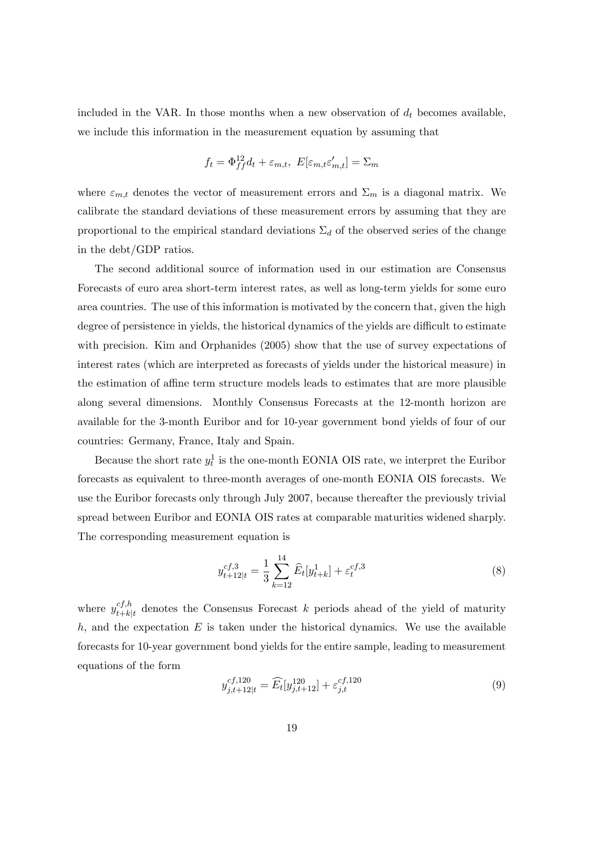included in the VAR. In those months when a new observation of  $d_t$  becomes available, we include this information in the measurement equation by assuming that

$$
f_t = \Phi_{ff}^{12} d_t + \varepsilon_{m,t}, \ E[\varepsilon_{m,t} \varepsilon'_{m,t}] = \Sigma_m
$$

where  $\varepsilon_{m,t}$  denotes the vector of measurement errors and  $\Sigma_m$  is a diagonal matrix. We calibrate the standard deviations of these measurement errors by assuming that they are proportional to the empirical standard deviations  $\Sigma_d$  of the observed series of the change in the debt/GDP ratios.

The second additional source of information used in our estimation are Consensus Forecasts of euro area short-term interest rates, as well as long-term yields for some euro area countries. The use of this information is motivated by the concern that, given the high degree of persistence in yields, the historical dynamics of the yields are difficult to estimate with precision. Kim and Orphanides (2005) show that the use of survey expectations of interest rates (which are interpreted as forecasts of yields under the historical measure) in the estimation of affine term structure models leads to estimates that are more plausible along several dimensions. Monthly Consensus Forecasts at the 12-month horizon are available for the 3-month Euribor and for 10-year government bond yields of four of our countries: Germany, France, Italy and Spain.

Because the short rate  $y_t^1$  is the one-month EONIA OIS rate, we interpret the Euribor forecasts as equivalent to three-month averages of one-month EONIA OIS forecasts. We use the Euribor forecasts only through July 2007, because thereafter the previously trivial spread between Euribor and EONIA OIS rates at comparable maturities widened sharply. The corresponding measurement equation is

$$
y_{t+12|t}^{cf,3} = \frac{1}{3} \sum_{k=12}^{14} \widehat{E}_t[y_{t+k}^1] + \varepsilon_t^{cf,3}
$$
\n(8)

where  $y_{t+k}^{cf,h}$  $c_{t+k|t}^{c_{t},h}$  denotes the Consensus Forecast k periods ahead of the yield of maturity  $h$ , and the expectation  $E$  is taken under the historical dynamics. We use the available forecasts for 10-year government bond yields for the entire sample, leading to measurement equations of the form

$$
y_{j,t+12|t}^{cf,120} = \widehat{E_t}[y_{j,t+12}^{120}] + \varepsilon_{j,t}^{cf,120}
$$
\n(9)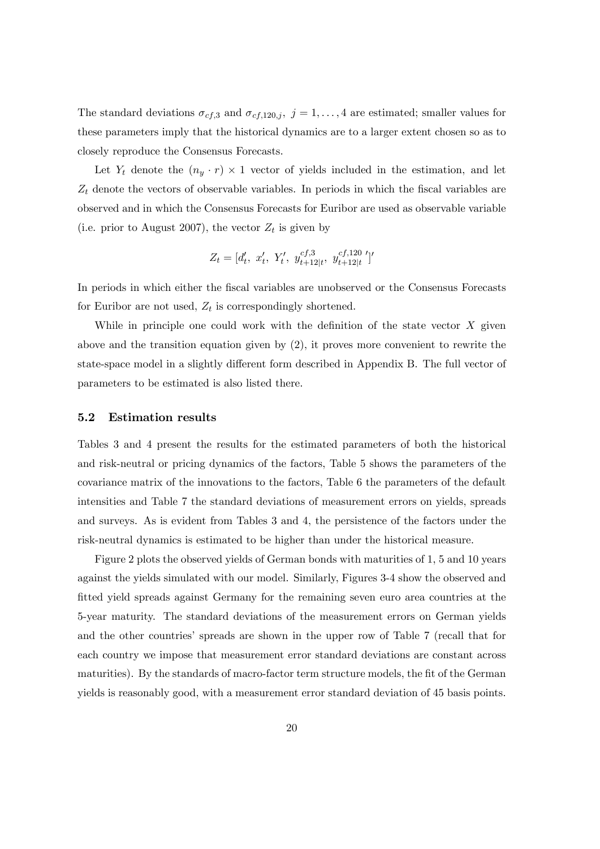The standard deviations  $\sigma_{cf,3}$  and  $\sigma_{cf,120,j}$ ,  $j = 1, \ldots, 4$  are estimated; smaller values for these parameters imply that the historical dynamics are to a larger extent chosen so as to closely reproduce the Consensus Forecasts.

Let  $Y_t$  denote the  $(n_y \cdot r) \times 1$  vector of yields included in the estimation, and let  $Z_t$  denote the vectors of observable variables. In periods in which the fiscal variables are observed and in which the Consensus Forecasts for Euribor are used as observable variable (i.e. prior to August 2007), the vector  $Z_t$  is given by

$$
Z_t = [d'_t, x'_t, Y'_t, y_{t+12|t}^{cf,3}, y_{t+12|t}^{cf,120}]'
$$

In periods in which either the Öscal variables are unobserved or the Consensus Forecasts for Euribor are not used,  $Z_t$  is correspondingly shortened.

While in principle one could work with the definition of the state vector  $X$  given above and the transition equation given by (2), it proves more convenient to rewrite the state-space model in a slightly different form described in Appendix B. The full vector of parameters to be estimated is also listed there.

#### 5.2 Estimation results

Tables 3 and 4 present the results for the estimated parameters of both the historical and risk-neutral or pricing dynamics of the factors, Table 5 shows the parameters of the covariance matrix of the innovations to the factors, Table 6 the parameters of the default intensities and Table 7 the standard deviations of measurement errors on yields, spreads and surveys. As is evident from Tables 3 and 4, the persistence of the factors under the risk-neutral dynamics is estimated to be higher than under the historical measure.

Figure 2 plots the observed yields of German bonds with maturities of 1, 5 and 10 years against the yields simulated with our model. Similarly, Figures 3-4 show the observed and fitted yield spreads against Germany for the remaining seven euro area countries at the 5-year maturity. The standard deviations of the measurement errors on German yields and the other countries' spreads are shown in the upper row of Table 7 (recall that for each country we impose that measurement error standard deviations are constant across maturities). By the standards of macro-factor term structure models, the fit of the German yields is reasonably good, with a measurement error standard deviation of 45 basis points.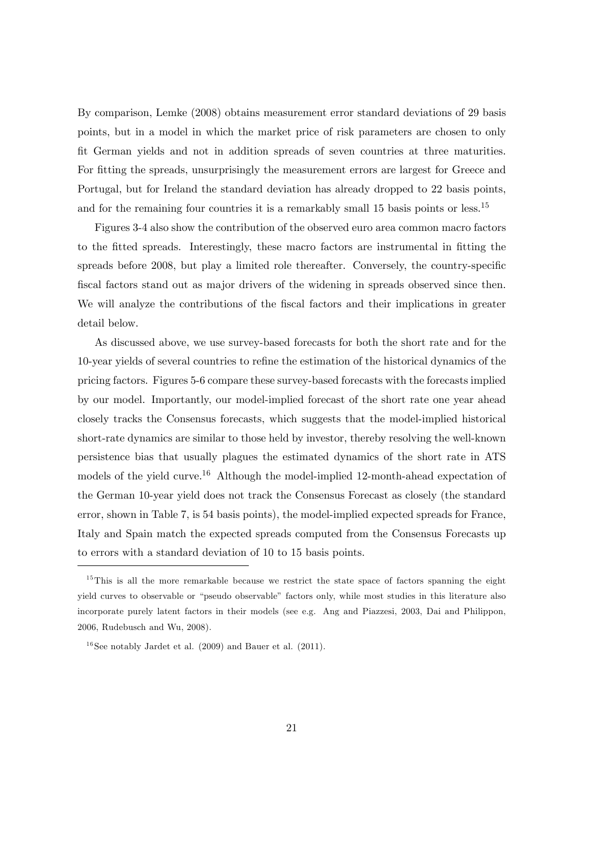By comparison, Lemke (2008) obtains measurement error standard deviations of 29 basis points, but in a model in which the market price of risk parameters are chosen to only Öt German yields and not in addition spreads of seven countries at three maturities. For fitting the spreads, unsurprisingly the measurement errors are largest for Greece and Portugal, but for Ireland the standard deviation has already dropped to 22 basis points, and for the remaining four countries it is a remarkably small 15 basis points or less.<sup>15</sup>

Figures 3-4 also show the contribution of the observed euro area common macro factors to the fitted spreads. Interestingly, these macro factors are instrumental in fitting the spreads before 2008, but play a limited role thereafter. Conversely, the country-specific fiscal factors stand out as major drivers of the widening in spreads observed since then. We will analyze the contributions of the fiscal factors and their implications in greater detail below.

As discussed above, we use survey-based forecasts for both the short rate and for the 10-year yields of several countries to reÖne the estimation of the historical dynamics of the pricing factors. Figures 5-6 compare these survey-based forecasts with the forecasts implied by our model. Importantly, our model-implied forecast of the short rate one year ahead closely tracks the Consensus forecasts, which suggests that the model-implied historical short-rate dynamics are similar to those held by investor, thereby resolving the well-known persistence bias that usually plagues the estimated dynamics of the short rate in ATS models of the yield curve.<sup>16</sup> Although the model-implied 12-month-ahead expectation of the German 10-year yield does not track the Consensus Forecast as closely (the standard error, shown in Table 7, is 54 basis points), the model-implied expected spreads for France, Italy and Spain match the expected spreads computed from the Consensus Forecasts up to errors with a standard deviation of 10 to 15 basis points.

 $15$ This is all the more remarkable because we restrict the state space of factors spanning the eight yield curves to observable or "pseudo observable" factors only, while most studies in this literature also incorporate purely latent factors in their models (see e.g. Ang and Piazzesi, 2003, Dai and Philippon, 2006, Rudebusch and Wu, 2008).

 $16$  See notably Jardet et al. (2009) and Bauer et al. (2011).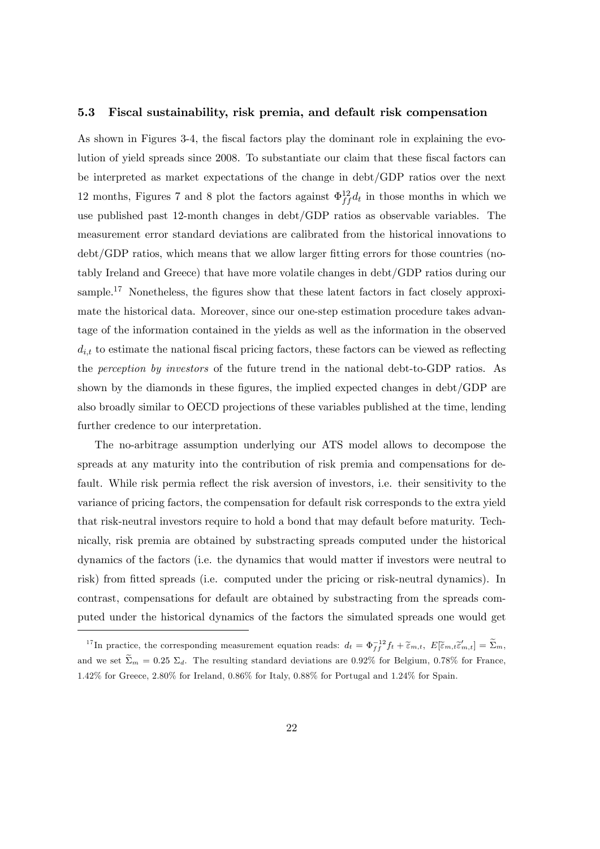#### 5.3 Fiscal sustainability, risk premia, and default risk compensation

As shown in Figures 3-4, the fiscal factors play the dominant role in explaining the evolution of yield spreads since 2008. To substantiate our claim that these fiscal factors can be interpreted as market expectations of the change in debt/GDP ratios over the next 12 months, Figures 7 and 8 plot the factors against  $\Phi_{ff}^{12}d_t$  in those months in which we use published past 12-month changes in debt/GDP ratios as observable variables. The measurement error standard deviations are calibrated from the historical innovations to debt/GDP ratios, which means that we allow larger fitting errors for those countries (notably Ireland and Greece) that have more volatile changes in debt/GDP ratios during our sample.<sup>17</sup> Nonetheless, the figures show that these latent factors in fact closely approximate the historical data. Moreover, since our one-step estimation procedure takes advantage of the information contained in the yields as well as the information in the observed  $d_{i,t}$  to estimate the national fiscal pricing factors, these factors can be viewed as reflecting the perception by investors of the future trend in the national debt-to-GDP ratios. As shown by the diamonds in these figures, the implied expected changes in debt/ $GDP$  are also broadly similar to OECD projections of these variables published at the time, lending further credence to our interpretation.

The no-arbitrage assumption underlying our ATS model allows to decompose the spreads at any maturity into the contribution of risk premia and compensations for default. While risk permia reflect the risk aversion of investors, i.e. their sensitivity to the variance of pricing factors, the compensation for default risk corresponds to the extra yield that risk-neutral investors require to hold a bond that may default before maturity. Technically, risk premia are obtained by substracting spreads computed under the historical dynamics of the factors (i.e. the dynamics that would matter if investors were neutral to risk) from fitted spreads (i.e. computed under the pricing or risk-neutral dynamics). In contrast, compensations for default are obtained by substracting from the spreads computed under the historical dynamics of the factors the simulated spreads one would get

<sup>&</sup>lt;sup>17</sup>In practice, the corresponding measurement equation reads:  $d_t = \Phi_{ff}^{-12} f_t + \tilde{\epsilon}_{m,t}, E[\tilde{\epsilon}_{m,t}\tilde{\epsilon}'_{m,t}] = \tilde{\Sigma}_m$ and we set  $\widetilde{\Sigma}_m = 0.25 \Sigma_d$ . The resulting standard deviations are 0.92% for Belgium, 0.78% for France, 1.42% for Greece, 2.80% for Ireland, 0.86% for Italy, 0.88% for Portugal and 1.24% for Spain.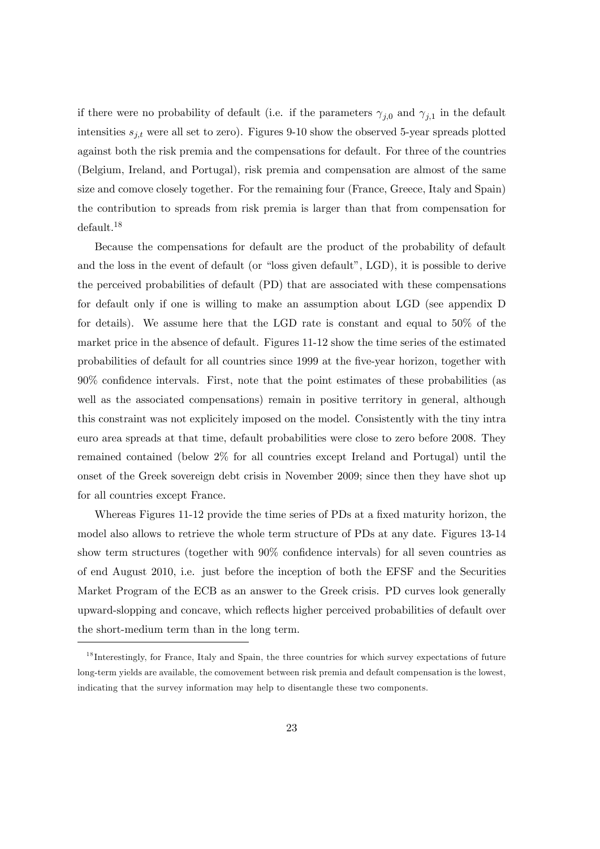if there were no probability of default (i.e. if the parameters  $\gamma_{j,0}$  and  $\gamma_{j,1}$  in the default intensities  $s_{j,t}$  were all set to zero). Figures 9-10 show the observed 5-year spreads plotted against both the risk premia and the compensations for default. For three of the countries (Belgium, Ireland, and Portugal), risk premia and compensation are almost of the same size and comove closely together. For the remaining four (France, Greece, Italy and Spain) the contribution to spreads from risk premia is larger than that from compensation for default.<sup>18</sup>

Because the compensations for default are the product of the probability of default and the loss in the event of default (or "loss given default",  $LGD$ ), it is possible to derive the perceived probabilities of default (PD) that are associated with these compensations for default only if one is willing to make an assumption about LGD (see appendix D for details). We assume here that the LGD rate is constant and equal to 50% of the market price in the absence of default. Figures 11-12 show the time series of the estimated probabilities of default for all countries since 1999 at the Öve-year horizon, together with  $90\%$  confidence intervals. First, note that the point estimates of these probabilities (as well as the associated compensations) remain in positive territory in general, although this constraint was not explicitely imposed on the model. Consistently with the tiny intra euro area spreads at that time, default probabilities were close to zero before 2008. They remained contained (below 2% for all countries except Ireland and Portugal) until the onset of the Greek sovereign debt crisis in November 2009; since then they have shot up for all countries except France.

Whereas Figures 11-12 provide the time series of PDs at a fixed maturity horizon, the model also allows to retrieve the whole term structure of PDs at any date. Figures 13-14 show term structures (together with  $90\%$  confidence intervals) for all seven countries as of end August 2010, i.e. just before the inception of both the EFSF and the Securities Market Program of the ECB as an answer to the Greek crisis. PD curves look generally upward-slopping and concave, which reáects higher perceived probabilities of default over the short-medium term than in the long term.

<sup>&</sup>lt;sup>18</sup> Interestingly, for France, Italy and Spain, the three countries for which survey expectations of future long-term yields are available, the comovement between risk premia and default compensation is the lowest, indicating that the survey information may help to disentangle these two components.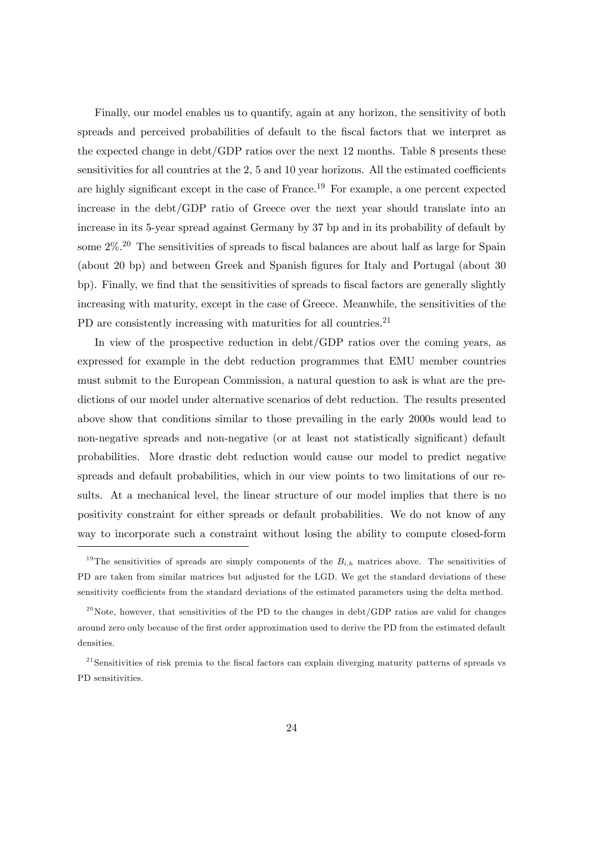Finally, our model enables us to quantify, again at any horizon, the sensitivity of both spreads and perceived probabilities of default to the fiscal factors that we interpret as the expected change in debt/GDP ratios over the next 12 months. Table 8 presents these sensitivities for all countries at the  $2, 5$  and  $10$  year horizons. All the estimated coefficients are highly significant except in the case of France.<sup>19</sup> For example, a one percent expected increase in the debt/GDP ratio of Greece over the next year should translate into an increase in its 5-year spread against Germany by 37 bp and in its probability of default by some  $2\%$ <sup>20</sup>.<sup>20</sup> The sensitivities of spreads to fiscal balances are about half as large for Spain (about 20 bp) and between Greek and Spanish figures for Italy and Portugal (about 30) bp). Finally, we find that the sensitivities of spreads to fiscal factors are generally slightly increasing with maturity, except in the case of Greece. Meanwhile, the sensitivities of the PD are consistently increasing with maturities for all countries.<sup>21</sup>

In view of the prospective reduction in debt/GDP ratios over the coming years, as expressed for example in the debt reduction programmes that EMU member countries must submit to the European Commission, a natural question to ask is what are the predictions of our model under alternative scenarios of debt reduction. The results presented above show that conditions similar to those prevailing in the early 2000s would lead to non-negative spreads and non-negative (or at least not statistically significant) default probabilities. More drastic debt reduction would cause our model to predict negative spreads and default probabilities, which in our view points to two limitations of our results. At a mechanical level, the linear structure of our model implies that there is no positivity constraint for either spreads or default probabilities. We do not know of any way to incorporate such a constraint without losing the ability to compute closed-form

<sup>&</sup>lt;sup>19</sup>The sensitivities of spreads are simply components of the  $B_{i,h}$  matrices above. The sensitivities of PD are taken from similar matrices but adjusted for the LGD. We get the standard deviations of these sensitivity coefficients from the standard deviations of the estimated parameters using the delta method.

 $^{20}$ Note, however, that sensitivities of the PD to the changes in debt/GDP ratios are valid for changes around zero only because of the first order approximation used to derive the PD from the estimated default densities.

 $21$ Sensitivities of risk premia to the fiscal factors can explain diverging maturity patterns of spreads vs PD sensitivities.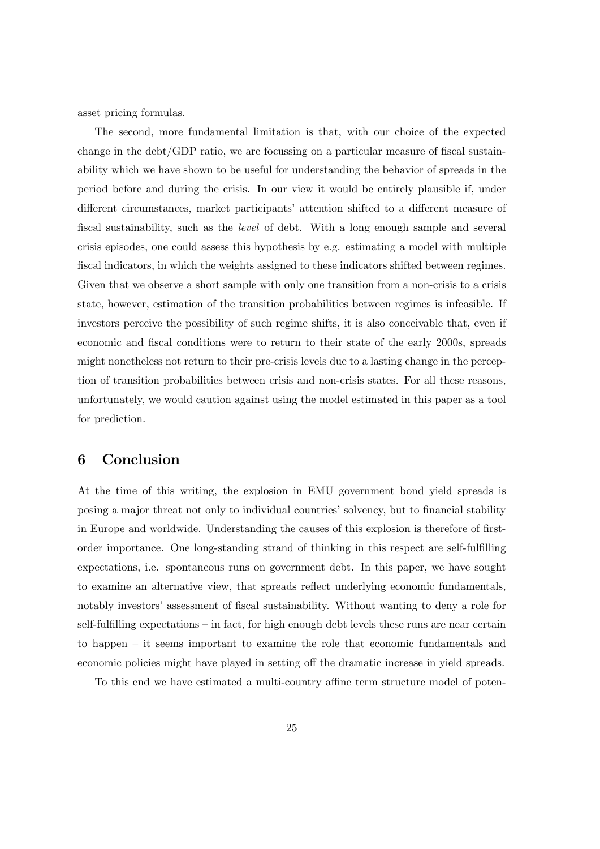asset pricing formulas.

The second, more fundamental limitation is that, with our choice of the expected change in the debt/GDP ratio, we are focussing on a particular measure of fiscal sustainability which we have shown to be useful for understanding the behavior of spreads in the period before and during the crisis. In our view it would be entirely plausible if, under different circumstances, market participants' attention shifted to a different measure of fiscal sustainability, such as the *level* of debt. With a long enough sample and several crisis episodes, one could assess this hypothesis by e.g. estimating a model with multiple fiscal indicators, in which the weights assigned to these indicators shifted between regimes. Given that we observe a short sample with only one transition from a non-crisis to a crisis state, however, estimation of the transition probabilities between regimes is infeasible. If investors perceive the possibility of such regime shifts, it is also conceivable that, even if economic and fiscal conditions were to return to their state of the early 2000s, spreads might nonetheless not return to their pre-crisis levels due to a lasting change in the perception of transition probabilities between crisis and non-crisis states. For all these reasons, unfortunately, we would caution against using the model estimated in this paper as a tool for prediction.

## 6 Conclusion

At the time of this writing, the explosion in EMU government bond yield spreads is posing a major threat not only to individual countries' solvency, but to financial stability in Europe and worldwide. Understanding the causes of this explosion is therefore of firstorder importance. One long-standing strand of thinking in this respect are self-fulfilling expectations, i.e. spontaneous runs on government debt. In this paper, we have sought to examine an alternative view, that spreads reflect underlying economic fundamentals, notably investors' assessment of fiscal sustainability. Without wanting to deny a role for self-fulfilling expectations  $-\text{in fact}$ , for high enough debt levels these runs are near certain to happen  $-$  it seems important to examine the role that economic fundamentals and economic policies might have played in setting off the dramatic increase in yield spreads.

To this end we have estimated a multi-country affine term structure model of poten-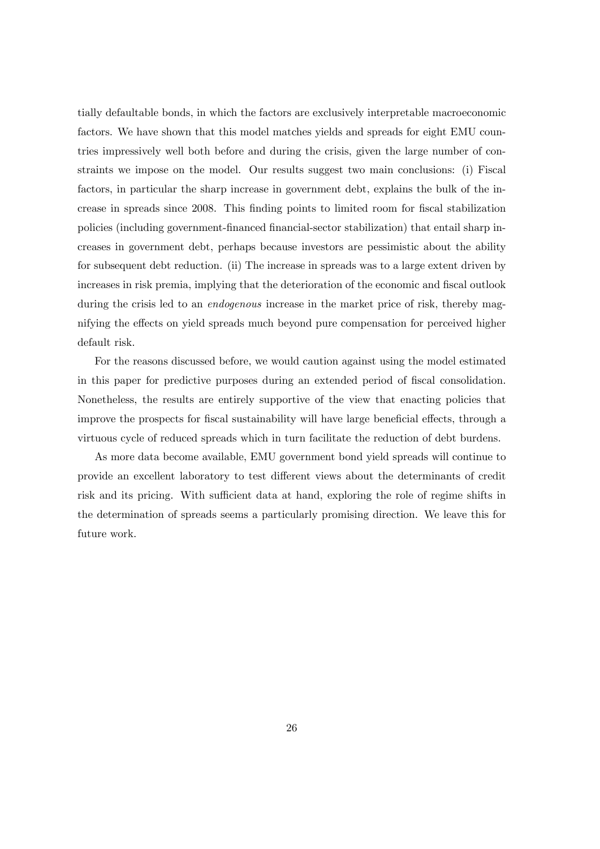tially defaultable bonds, in which the factors are exclusively interpretable macroeconomic factors. We have shown that this model matches yields and spreads for eight EMU countries impressively well both before and during the crisis, given the large number of constraints we impose on the model. Our results suggest two main conclusions: (i) Fiscal factors, in particular the sharp increase in government debt, explains the bulk of the increase in spreads since 2008. This finding points to limited room for fiscal stabilization policies (including government-Önanced Önancial-sector stabilization) that entail sharp increases in government debt, perhaps because investors are pessimistic about the ability for subsequent debt reduction. (ii) The increase in spreads was to a large extent driven by increases in risk premia, implying that the deterioration of the economic and fiscal outlook during the crisis led to an *endogenous* increase in the market price of risk, thereby magnifying the effects on yield spreads much beyond pure compensation for perceived higher default risk.

For the reasons discussed before, we would caution against using the model estimated in this paper for predictive purposes during an extended period of fiscal consolidation. Nonetheless, the results are entirely supportive of the view that enacting policies that improve the prospects for fiscal sustainability will have large beneficial effects, through a virtuous cycle of reduced spreads which in turn facilitate the reduction of debt burdens.

As more data become available, EMU government bond yield spreads will continue to provide an excellent laboratory to test different views about the determinants of credit risk and its pricing. With sufficient data at hand, exploring the role of regime shifts in the determination of spreads seems a particularly promising direction. We leave this for future work.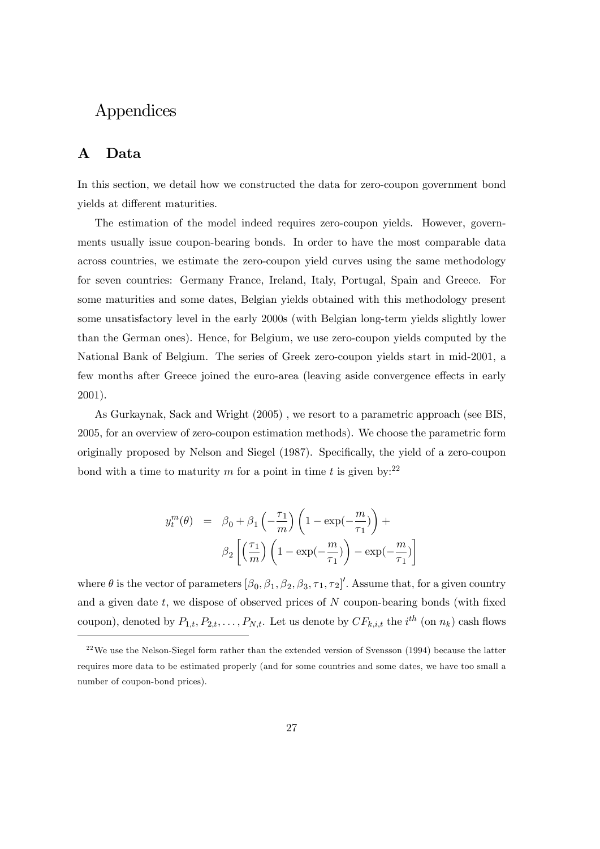## Appendices

### A Data

In this section, we detail how we constructed the data for zero-coupon government bond yields at different maturities.

The estimation of the model indeed requires zero-coupon yields. However, governments usually issue coupon-bearing bonds. In order to have the most comparable data across countries, we estimate the zero-coupon yield curves using the same methodology for seven countries: Germany France, Ireland, Italy, Portugal, Spain and Greece. For some maturities and some dates, Belgian yields obtained with this methodology present some unsatisfactory level in the early 2000s (with Belgian long-term yields slightly lower than the German ones). Hence, for Belgium, we use zero-coupon yields computed by the National Bank of Belgium. The series of Greek zero-coupon yields start in mid-2001, a few months after Greece joined the euro-area (leaving aside convergence effects in early 2001).

As Gurkaynak, Sack and Wright (2005) , we resort to a parametric approach (see BIS, 2005, for an overview of zero-coupon estimation methods). We choose the parametric form originally proposed by Nelson and Siegel (1987). Specifically, the yield of a zero-coupon bond with a time to maturity m for a point in time t is given by:  $2^2$ 

$$
y_t^m(\theta) = \beta_0 + \beta_1 \left( -\frac{\tau_1}{m} \right) \left( 1 - \exp(-\frac{m}{\tau_1}) \right) +
$$

$$
\beta_2 \left[ \left( \frac{\tau_1}{m} \right) \left( 1 - \exp(-\frac{m}{\tau_1}) \right) - \exp(-\frac{m}{\tau_1}) \right]
$$

where  $\theta$  is the vector of parameters  $[\beta_0, \beta_1, \beta_2, \beta_3, \tau_1, \tau_2]'$ . Assume that, for a given country and a given date  $t$ , we dispose of observed prices of  $N$  coupon-bearing bonds (with fixed coupon), denoted by  $P_{1,t}, P_{2,t}, \ldots, P_{N,t}$ . Let us denote by  $CF_{k,i,t}$  the  $i^{th}$  (on  $n_k$ ) cash flows

 $22$ We use the Nelson-Siegel form rather than the extended version of Svensson (1994) because the latter requires more data to be estimated properly (and for some countries and some dates, we have too small a number of coupon-bond prices).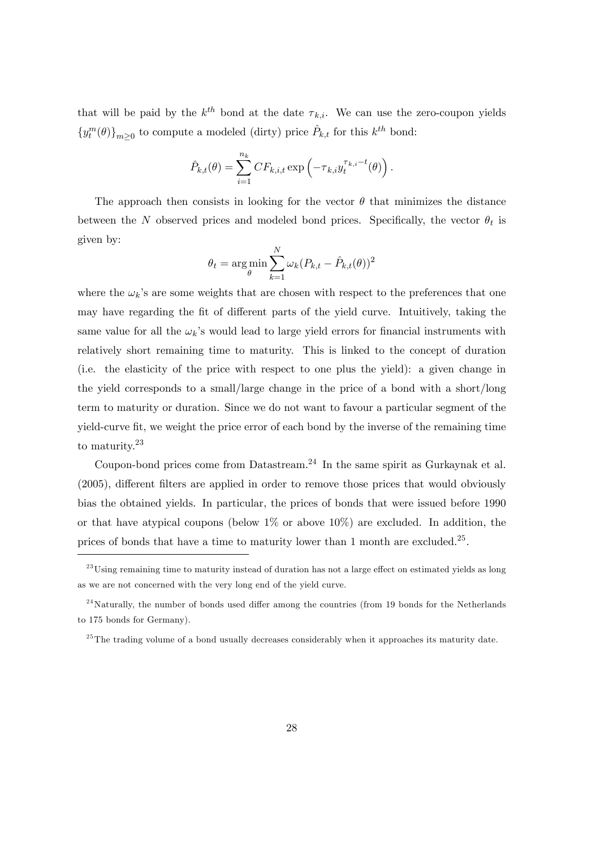that will be paid by the  $k^{th}$  bond at the date  $\tau_{k,i}$ . We can use the zero-coupon yields  $\{y_t^m(\theta)\}_{m\geq 0}$  to compute a modeled (dirty) price  $\hat{P}_{k,t}$  for this  $k^{th}$  bond:

$$
\hat{P}_{k,t}(\theta) = \sum_{i=1}^{n_k} CF_{k,i,t} \exp\left(-\tau_{k,i} y_t^{\tau_{k,i}-t}(\theta)\right).
$$

The approach then consists in looking for the vector  $\theta$  that minimizes the distance between the N observed prices and modeled bond prices. Specifically, the vector  $\theta_t$  is given by:

$$
\theta_t = \argmin_{\theta} \sum_{k=1}^{N} \omega_k (P_{k,t} - \hat{P}_{k,t}(\theta))^2
$$

where the  $\omega_k$ 's are some weights that are chosen with respect to the preferences that one may have regarding the fit of different parts of the yield curve. Intuitively, taking the same value for all the  $\omega_k$ 's would lead to large yield errors for financial instruments with relatively short remaining time to maturity. This is linked to the concept of duration (i.e. the elasticity of the price with respect to one plus the yield): a given change in the yield corresponds to a small/large change in the price of a bond with a short/long term to maturity or duration. Since we do not want to favour a particular segment of the yield-curve Öt, we weight the price error of each bond by the inverse of the remaining time to maturity.<sup>23</sup>

Coupon-bond prices come from Datastream.<sup>24</sup> In the same spirit as Gurkaynak et al.  $(2005)$ , different filters are applied in order to remove those prices that would obviously bias the obtained yields. In particular, the prices of bonds that were issued before 1990 or that have atypical coupons (below  $1\%$  or above  $10\%$ ) are excluded. In addition, the prices of bonds that have a time to maturity lower than 1 month are excluded.<sup>25</sup>.

 $^{23}$ Using remaining time to maturity instead of duration has not a large effect on estimated yields as long as we are not concerned with the very long end of the yield curve.

 $^{24}$ Naturally, the number of bonds used differ among the countries (from 19 bonds for the Netherlands to 175 bonds for Germany).

 $^{25}$ The trading volume of a bond usually decreases considerably when it approaches its maturity date.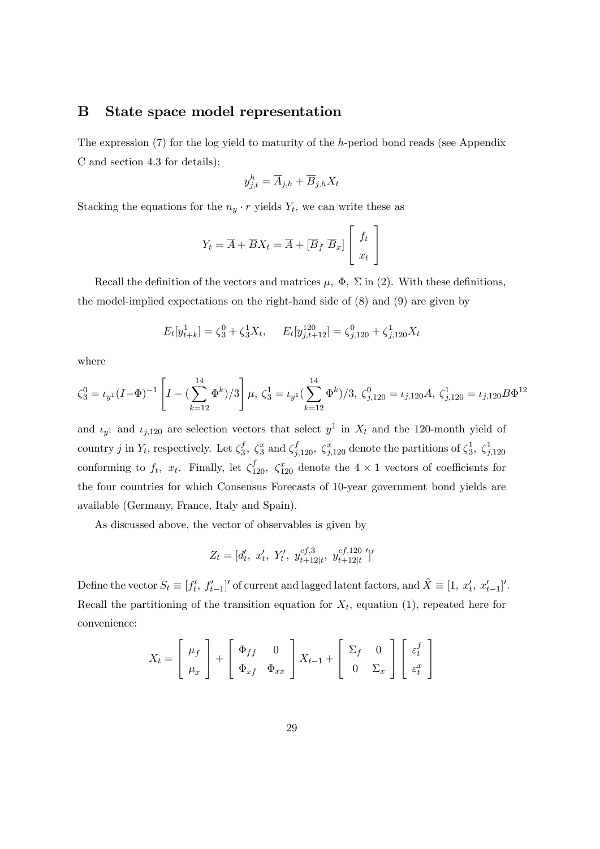#### B State space model representation

The expression (7) for the log yield to maturity of the h-period bond reads (see Appendix C and section 4.3 for details):

$$
y_{j,t}^h = \overline{A}_{j,h} + \overline{B}_{j,h} X_t
$$

Stacking the equations for the  $n_y \cdot r$  yields  $Y_t$ , we can write these as

$$
Y_t = \overline{A} + \overline{B}X_t = \overline{A} + [\overline{B}_f \ \overline{B}_x] \left[ \begin{array}{c} f_t \\ x_t \end{array} \right]
$$

Recall the definition of the vectors and matrices  $\mu$ ,  $\Phi$ ,  $\Sigma$  in (2). With these definitions, the model-implied expectations on the right-hand side of (8) and (9) are given by

$$
E_t[y_{t+k}^1] = \zeta_3^0 + \zeta_3^1 X_t, \quad E_t[y_{j,t+12}^{120}] = \zeta_{j,120}^0 + \zeta_{j,120}^1 X_t
$$

where

$$
\zeta_3^0 = \iota_{y^1} (I - \Phi)^{-1} \left[ I - \left( \sum_{k=12}^{14} \Phi^k \right) / 3 \right] \mu, \, \zeta_3^1 = \iota_{y^1} \left( \sum_{k=12}^{14} \Phi^k \right) / 3, \, \zeta_{j,120}^0 = \iota_{j,120} A, \, \zeta_{j,120}^1 = \iota_{j,120} B \Phi^{12}
$$

and  $\iota_{y^1}$  and  $\iota_{j,120}$  are selection vectors that select  $y^1$  in  $X_t$  and the 120-month yield of country j in  $Y_t$ , respectively. Let  $\zeta_3^f$  $\zeta_3^f$ ,  $\zeta_3^x$  and  $\zeta_{j,120}^f$ ,  $\zeta_{j,120}^x$  denote the partitions of  $\zeta_3^1$ ,  $\zeta_{j,120}^1$ conforming to  $f_t$ ,  $x_t$ . Finally, let  $\zeta_{120}^f$ ,  $\zeta_{120}^x$  denote the  $4 \times 1$  vectors of coefficients for the four countries for which Consensus Forecasts of 10-year government bond yields are available (Germany, France, Italy and Spain).

As discussed above, the vector of observables is given by

$$
Z_t = [d'_t, x'_t, Y'_t, y_{t+12|t}^{cf,3}, y_{t+12|t}^{cf,120}]'
$$

Define the vector  $S_t \equiv [f'_t, f'_{t-1}]'$  of current and lagged latent factors, and  $\tilde{X} \equiv [1, x'_t, x'_{t-1}]'.$ Recall the partitioning of the transition equation for  $X_t$ , equation (1), repeated here for convenience:

$$
X_t = \begin{bmatrix} \mu_f \\ \mu_x \end{bmatrix} + \begin{bmatrix} \Phi_{ff} & 0 \\ \Phi_{xf} & \Phi_{xx} \end{bmatrix} X_{t-1} + \begin{bmatrix} \Sigma_f & 0 \\ 0 & \Sigma_x \end{bmatrix} \begin{bmatrix} \varepsilon_t^f \\ \varepsilon_t^x \end{bmatrix}
$$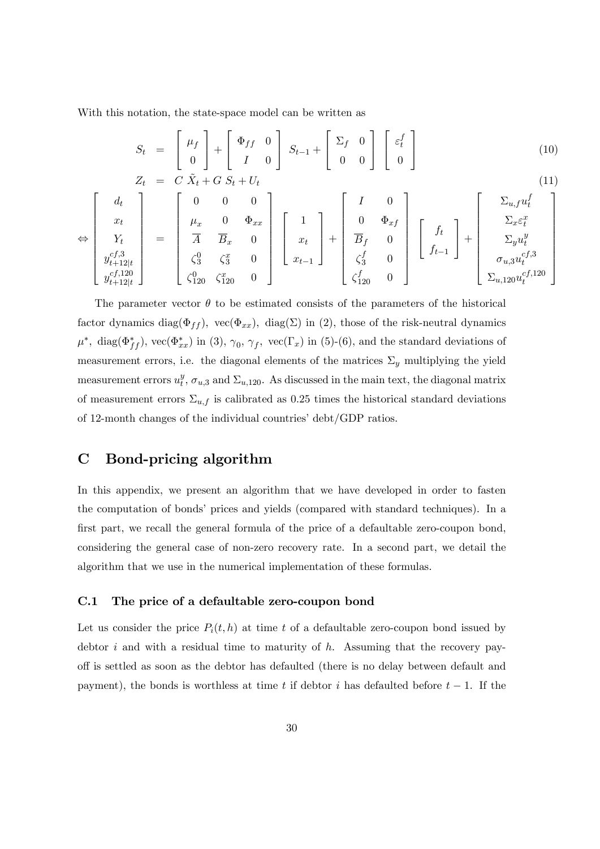With this notation, the state-space model can be written as

$$
S_t = \begin{bmatrix} \mu_f \\ 0 \end{bmatrix} + \begin{bmatrix} \Phi_{ff} & 0 \\ I & 0 \end{bmatrix} S_{t-1} + \begin{bmatrix} \Sigma_f & 0 \\ 0 & 0 \end{bmatrix} \begin{bmatrix} \varepsilon_t^f \\ 0 \end{bmatrix}
$$
(10)  

$$
Z_t = C \tilde{X}_t + G S_t + U_t
$$
(11)

$$
\Leftrightarrow \begin{bmatrix} d_t \\ x_t \\ Y_t \\ y_{t+12|t}^{cf,3} \\ y_{t+12|t}^{cf,120} \\ \end{bmatrix} = \begin{bmatrix} 0 & 0 & 0 \\ \mu_x & 0 & \Phi_{xx} \\ \overline{A} & \overline{B}_x & 0 \\ \zeta_3^0 & \zeta_3^x & 0 \\ \zeta_{120}^0 & \zeta_{120}^x & 0 \end{bmatrix} \begin{bmatrix} 1 \\ x_t \\ x_{t-1} \end{bmatrix} + \begin{bmatrix} I & 0 \\ 0 & \Phi_{xf} \\ \overline{B}_f & 0 \\ \zeta_3^f & 0 \\ \zeta_{120}^f & 0 \end{bmatrix} \begin{bmatrix} f_t \\ f_{t-1} \end{bmatrix} + \begin{bmatrix} \Sigma_{u,f} u_t^f \\ \Sigma_{x} \varepsilon_t^x \\ \Sigma_{y} u_t^y \\ \sigma_{u,3} u_t^{cf,3} \\ \Sigma_{u,120} u_t^{cf,120} \end{bmatrix}
$$

The parameter vector  $\theta$  to be estimated consists of the parameters of the historical factor dynamics diag( $\Phi_{ff}$ ), vec( $\Phi_{xx}$ ), diag( $\Sigma$ ) in (2), those of the risk-neutral dynamics  $\mu^*$ , diag( $\Phi_{ff}^*$ ), vec( $\Phi_{xx}^*$ ) in (3),  $\gamma_0$ ,  $\gamma_f$ , vec( $\Gamma_x$ ) in (5)-(6), and the standard deviations of measurement errors, i.e. the diagonal elements of the matrices  $\Sigma_y$  multiplying the yield measurement errors  $u_t^y$  $_t^y$ ,  $\sigma_{u,3}$  and  $\Sigma_{u,120}$ . As discussed in the main text, the diagonal matrix of measurement errors  $\Sigma_{u,f}$  is calibrated as 0.25 times the historical standard deviations of 12-month changes of the individual countries'  $\text{debt}/\text{GDP}$  ratios.

## C Bond-pricing algorithm

In this appendix, we present an algorithm that we have developed in order to fasten the computation of bonds' prices and yields (compared with standard techniques). In a first part, we recall the general formula of the price of a defaultable zero-coupon bond, considering the general case of non-zero recovery rate. In a second part, we detail the algorithm that we use in the numerical implementation of these formulas.

#### C.1 The price of a defaultable zero-coupon bond

Let us consider the price  $P_i(t, h)$  at time t of a defaultable zero-coupon bond issued by debtor i and with a residual time to maturity of  $h$ . Assuming that the recovery payo§ is settled as soon as the debtor has defaulted (there is no delay between default and payment), the bonds is worthless at time t if debtor i has defaulted before  $t-1$ . If the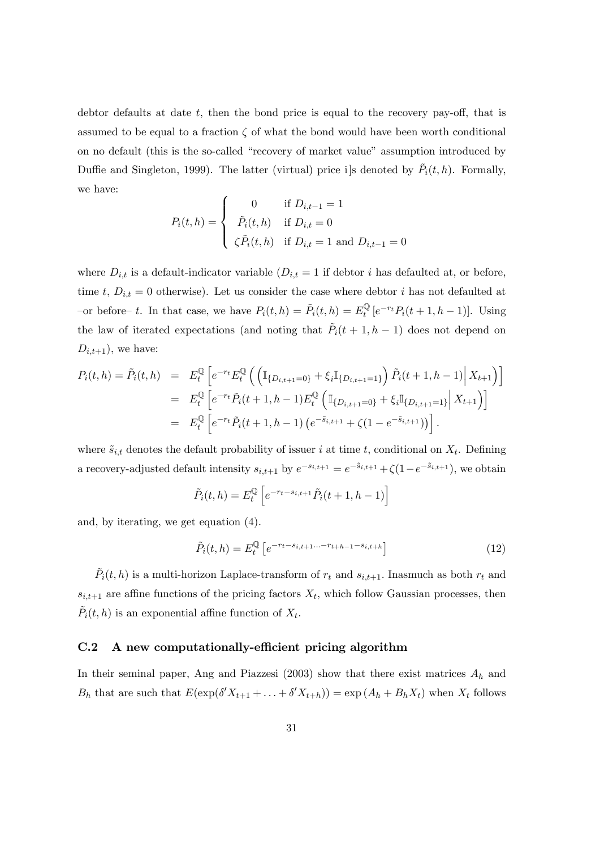debtor defaults at date  $t$ , then the bond price is equal to the recovery pay-off, that is assumed to be equal to a fraction  $\zeta$  of what the bond would have been worth conditional on no default (this is the so-called "recovery of market value" assumption introduced by Duffie and Singleton, 1999). The latter (virtual) price i]s denoted by  $\tilde{P}_i(t, h)$ . Formally, we have:

$$
P_i(t, h) = \begin{cases} 0 & \text{if } D_{i,t-1} = 1 \\ \tilde{P}_i(t, h) & \text{if } D_{i,t} = 0 \\ \zeta \tilde{P}_i(t, h) & \text{if } D_{i,t} = 1 \text{ and } D_{i,t-1} = 0 \end{cases}
$$

where  $D_{i,t}$  is a default-indicator variable  $(D_{i,t} = 1$  if debtor i has defaulted at, or before, time t,  $D_{i,t} = 0$  otherwise). Let us consider the case where debtor i has not defaulted at -or before- t. In that case, we have  $P_i(t, h) = \tilde{P}_i(t, h) = E_t^{\mathbb{Q}} [e^{-r_t} P_i(t+1, h-1)].$  Using the law of iterated expectations (and noting that  $\tilde{P}_i(t + 1, h - 1)$  does not depend on  $D_{i,t+1}$ , we have:

$$
P_i(t, h) = \tilde{P}_i(t, h) = E_t^{\mathbb{Q}} \left[ e^{-r_t} E_t^{\mathbb{Q}} \left( \left( \mathbb{I}_{\{D_{i,t+1}=0\}} + \xi_i \mathbb{I}_{\{D_{i,t+1}=1\}} \right) \tilde{P}_i(t+1, h-1) \middle| X_{t+1} \right) \right]
$$
  
\n
$$
= E_t^{\mathbb{Q}} \left[ e^{-r_t} \tilde{P}_i(t+1, h-1) E_t^{\mathbb{Q}} \left( \mathbb{I}_{\{D_{i,t+1}=0\}} + \xi_i \mathbb{I}_{\{D_{i,t+1}=1\}} \middle| X_{t+1} \right) \right]
$$
  
\n
$$
= E_t^{\mathbb{Q}} \left[ e^{-r_t} \tilde{P}_i(t+1, h-1) \left( e^{-\tilde{s}_{i,t+1}} + \zeta(1 - e^{-\tilde{s}_{i,t+1}}) \right) \right].
$$

where  $\tilde{s}_{i,t}$  denotes the default probability of issuer i at time t, conditional on  $X_t$ . Defining a recovery-adjusted default intensity  $s_{i,t+1}$  by  $e^{-s_{i,t+1}} = e^{-\tilde{s}_{i,t+1}} + \zeta(1 - e^{-\tilde{s}_{i,t+1}})$ , we obtain

$$
\tilde{P}_i(t, h) = E_t^{\mathbb{Q}} \left[ e^{-r_t - s_{i, t+1}} \tilde{P}_i(t+1, h-1) \right]
$$

and, by iterating, we get equation (4).

$$
\tilde{P}_i(t,h) = E_t^{\mathbb{Q}} \left[ e^{-r_t - s_{i,t+1} \dots - r_{t+h-1} - s_{i,t+h}} \right]
$$
\n(12)

 $\tilde{P}_i(t, h)$  is a multi-horizon Laplace-transform of  $r_t$  and  $s_{i,t+1}$ . Inasmuch as both  $r_t$  and  $s_{i,t+1}$  are affine functions of the pricing factors  $X_t$ , which follow Gaussian processes, then  $\tilde{P}_i(t, h)$  is an exponential affine function of  $X_t$ .

#### $C.2$  A new computationally-efficient pricing algorithm

In their seminal paper, Ang and Piazzesi (2003) show that there exist matrices  $A_h$  and  $B_h$  that are such that  $E(\exp(\delta' X_{t+1} + \ldots + \delta' X_{t+h})) = \exp(A_h + B_h X_t)$  when  $X_t$  follows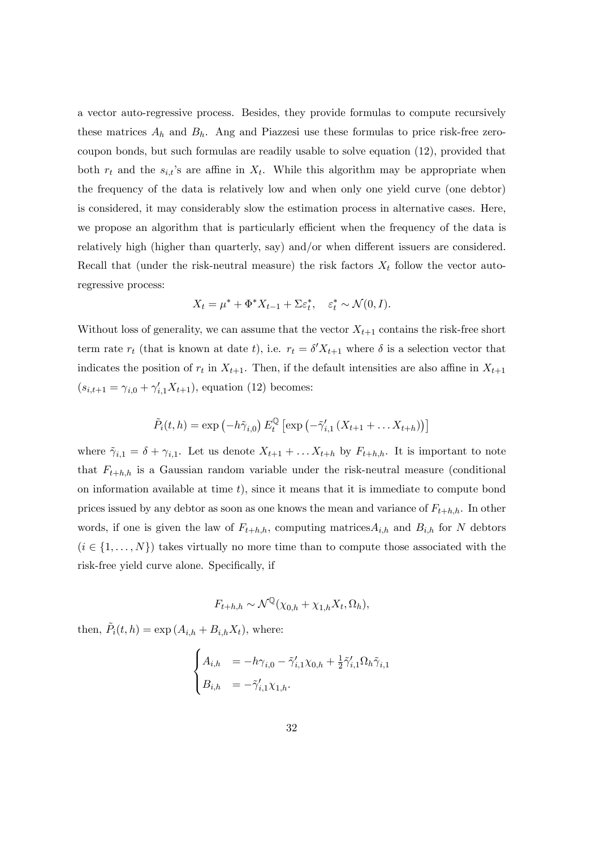a vector auto-regressive process. Besides, they provide formulas to compute recursively these matrices  $A_h$  and  $B_h$ . Ang and Piazzesi use these formulas to price risk-free zerocoupon bonds, but such formulas are readily usable to solve equation (12), provided that both  $r_t$  and the  $s_{i,t}$ 's are affine in  $X_t$ . While this algorithm may be appropriate when the frequency of the data is relatively low and when only one yield curve (one debtor) is considered, it may considerably slow the estimation process in alternative cases. Here, we propose an algorithm that is particularly efficient when the frequency of the data is relatively high (higher than quarterly, say) and/or when different issuers are considered. Recall that (under the risk-neutral measure) the risk factors  $X_t$  follow the vector autoregressive process:

$$
X_t = \mu^* + \Phi^* X_{t-1} + \Sigma \varepsilon_t^*, \quad \varepsilon_t^* \sim \mathcal{N}(0, I).
$$

Without loss of generality, we can assume that the vector  $X_{t+1}$  contains the risk-free short term rate  $r_t$  (that is known at date t), i.e.  $r_t = \delta' X_{t+1}$  where  $\delta$  is a selection vector that indicates the position of  $r_t$  in  $X_{t+1}$ . Then, if the default intensities are also affine in  $X_{t+1}$  $(s_{i,t+1} = \gamma_{i,0} + \gamma'_{i,1}X_{t+1}),$  equation (12) becomes:

$$
\tilde{P}_i(t,h) = \exp\left(-h\tilde{\gamma}_{i,0}\right) E_t^{\mathbb{Q}} \left[\exp\left(-\tilde{\gamma}'_{i,1}\left(X_{t+1} + \ldots X_{t+h}\right)\right)\right]
$$

where  $\tilde{\gamma}_{i,1} = \delta + \gamma_{i,1}$ . Let us denote  $X_{t+1} + \ldots X_{t+h}$  by  $F_{t+h,h}$ . It is important to note that  $F_{t+h,h}$  is a Gaussian random variable under the risk-neutral measure (conditional on information available at time  $t$ ), since it means that it is immediate to compute bond prices issued by any debtor as soon as one knows the mean and variance of  $F_{t+h,h}$ . In other words, if one is given the law of  $F_{t+h,h}$ , computing matrices  $A_{i,h}$  and  $B_{i,h}$  for N debtors  $(i \in \{1, \ldots, N\})$  takes virtually no more time than to compute those associated with the risk-free yield curve alone. Specifically, if

$$
F_{t+h,h} \sim \mathcal{N}^{\mathbb{Q}}(\chi_{0,h} + \chi_{1,h} X_t, \Omega_h),
$$

then,  $\tilde{P}_i(t, h) = \exp(A_{i,h} + B_{i,h}X_t)$ , where:

$$
\begin{cases}\nA_{i,h} &= -h\gamma_{i,0} - \tilde{\gamma}'_{i,1}\chi_{0,h} + \frac{1}{2}\tilde{\gamma}'_{i,1}\Omega_h\tilde{\gamma}_{i,1} \\
B_{i,h} &= -\tilde{\gamma}'_{i,1}\chi_{1,h}.\n\end{cases}
$$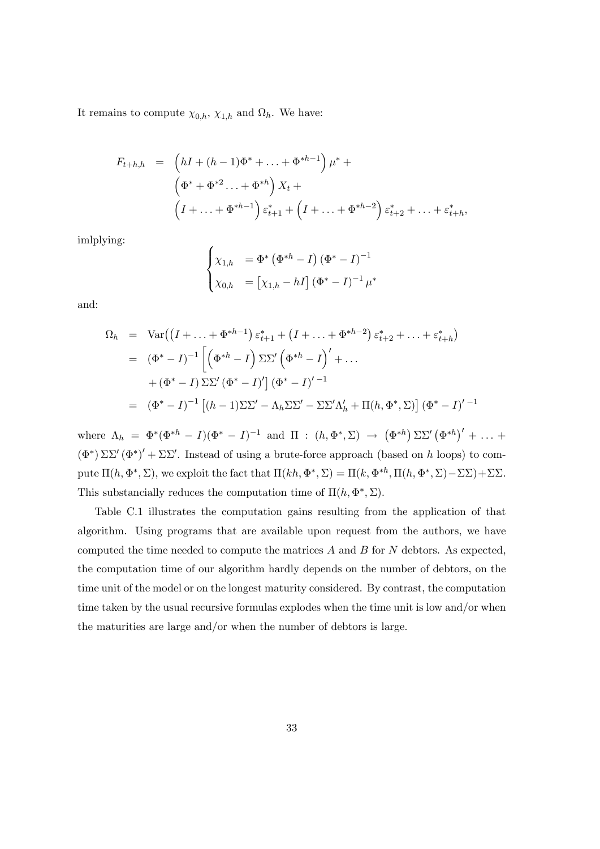It remains to compute  $\chi_{0,h}$ ,  $\chi_{1,h}$  and  $\Omega_h$ . We have:

$$
F_{t+h,h} = (hI + (h-1)\Phi^* + \dots + \Phi^{*h-1})\mu^* +
$$
  

$$
(\Phi^* + \Phi^{*2} \dots + \Phi^{*h})X_t +
$$
  

$$
(I + \dots + \Phi^{*h-1})\varepsilon_{t+1}^* + (I + \dots + \Phi^{*h-2})\varepsilon_{t+2}^* + \dots + \varepsilon_{t+h}^*,
$$

imlplying:

$$
\begin{cases} \chi_{1,h} = \Phi^* \left( \Phi^{*h} - I \right) \left( \Phi^* - I \right)^{-1} \\ \chi_{0,h} = \left[ \chi_{1,h} - hI \right] \left( \Phi^* - I \right)^{-1} \mu^* \end{cases}
$$

and:

$$
\Omega_h = \text{Var}\left( (I + \dots + \Phi^{*h-1}) \varepsilon_{t+1}^* + (I + \dots + \Phi^{*h-2}) \varepsilon_{t+2}^* + \dots + \varepsilon_{t+h}^* \right)
$$
  
\n
$$
= (\Phi^* - I)^{-1} \left[ \left( \Phi^{*h} - I \right) \Sigma \Sigma' \left( \Phi^{*h} - I \right)' + \dots
$$
  
\n
$$
+ (\Phi^* - I) \Sigma \Sigma' (\Phi^* - I)' \left[ (\Phi^* - I)^{-1} \right] \left( \Phi^* - I \right)'^{-1}
$$
  
\n
$$
= (\Phi^* - I)^{-1} \left[ (h - 1) \Sigma \Sigma' - \Lambda_h \Sigma \Sigma' - \Sigma \Sigma' \Lambda_h' + \Pi(h, \Phi^*, \Sigma) \right] (\Phi^* - I)^{-1}
$$

where  $\Lambda_h = \Phi^*(\Phi^{*h} - I)(\Phi^* - I)^{-1}$  and  $\Pi : (h, \Phi^*, \Sigma) \to (\Phi^{*h})\Sigma\Sigma'(\Phi^{*h})' + \dots$  $(\Phi^*) \Sigma \Sigma' (\Phi^*)' + \Sigma \Sigma'$ . Instead of using a brute-force approach (based on h loops) to compute  $\Pi(h, \Phi^*, \Sigma)$ , we exploit the fact that  $\Pi(kh, \Phi^*, \Sigma) = \Pi(k, \Phi^{*h}, \Pi(h, \Phi^*, \Sigma) - \Sigma\Sigma) + \Sigma\Sigma$ . This substancially reduces the computation time of  $\Pi(h, \Phi^*, \Sigma)$ .

Table C.1 illustrates the computation gains resulting from the application of that algorithm. Using programs that are available upon request from the authors, we have computed the time needed to compute the matrices  $A$  and  $B$  for  $N$  debtors. As expected, the computation time of our algorithm hardly depends on the number of debtors, on the time unit of the model or on the longest maturity considered. By contrast, the computation time taken by the usual recursive formulas explodes when the time unit is low and/or when the maturities are large and/or when the number of debtors is large.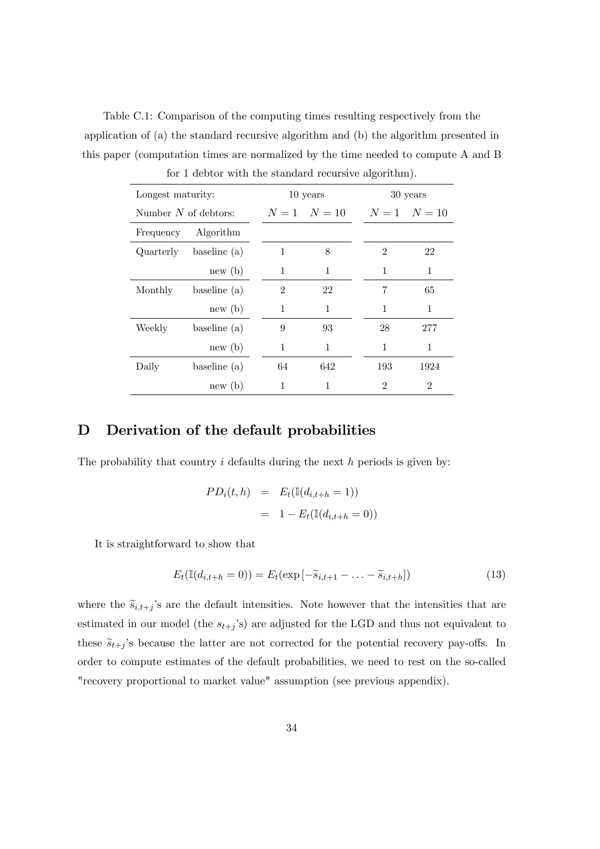Table C.1: Comparison of the computing times resulting respectively from the application of (a) the standard recursive algorithm and (b) the algorithm presented in this paper (computation times are normalized by the time needed to compute A and B for 1 debtor with the standard recursive algorithm).

|                        | for I dobtor with the bidded a could'te differently. |                |                                   |                |                |
|------------------------|------------------------------------------------------|----------------|-----------------------------------|----------------|----------------|
| Longest maturity:      |                                                      |                | 10 years                          |                | 30 years       |
| Number $N$ of debtors: |                                                      |                | $N = 1$ $N = 10$ $N = 1$ $N = 10$ |                |                |
| Frequency              | Algorithm                                            |                |                                   |                |                |
| Quarterly              | baseline (a)                                         | 1              | 8                                 | $\overline{2}$ | 22             |
|                        | new(b)                                               | 1              | 1                                 | 1              | 1              |
| Monthly                | baseline $(a)$                                       | $\overline{2}$ | 22                                | 7              | 65             |
|                        | new(b)                                               | 1              | 1                                 | 1              | 1              |
| Weekly                 | baseline (a)                                         | 9              | 93                                | 28             | 277            |
|                        | new(b)                                               | 1              | 1                                 | 1              | 1              |
| Daily                  | baseline $(a)$                                       | 64             | 642                               | 193            | 1924           |
|                        | new(b)                                               | 1              | 1                                 | $\overline{2}$ | $\overline{2}$ |

#### D Derivation of the default probabilities

The probability that country  $i$  defaults during the next  $h$  periods is given by:

$$
PD_i(t, h) = E_t(\mathbb{I}(d_{i,t+h} = 1))
$$
  
= 1 - E\_t(\mathbb{I}(d\_{i,t+h} = 0))

It is straightforward to show that

$$
E_t(\mathbb{I}(d_{i,t+h}=0)) = E_t(\exp[-\widetilde{s}_{i,t+1}-\ldots-\widetilde{s}_{i,t+h}])
$$
\n(13)

where the  $\widetilde{s}_{i,t+j}$ 's are the default intensities. Note however that the intensities that are estimated in our model (the  $s_{t+j}$ 's) are adjusted for the LGD and thus not equivalent to these  $\tilde{s}_{t+j}$ 's because the latter are not corrected for the potential recovery pay-offs. In order to compute estimates of the default probabilities, we need to rest on the so-called "recovery proportional to market value" assumption (see previous appendix).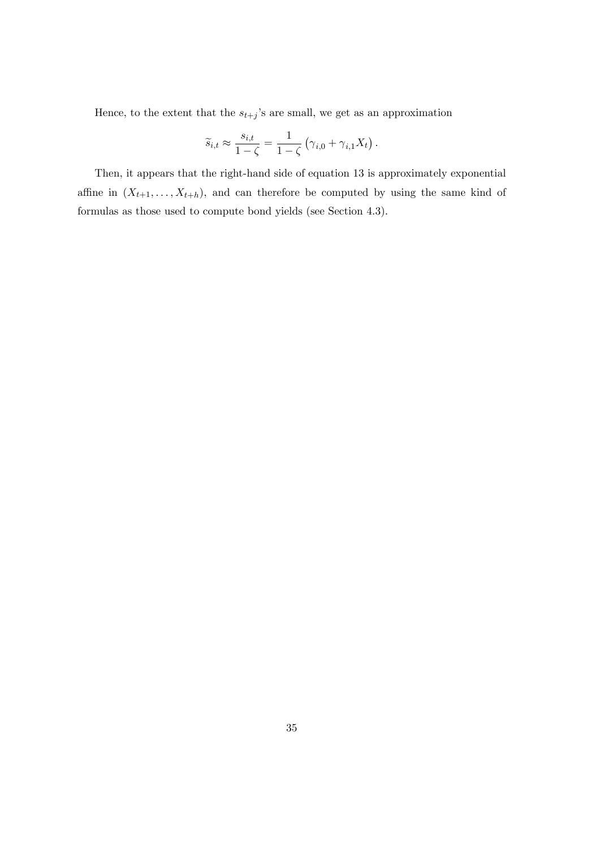Hence, to the extent that the  $s_{t+j}$ 's are small, we get as an approximation

$$
\widetilde{s}_{i,t} \approx \frac{s_{i,t}}{1-\zeta} = \frac{1}{1-\zeta} \left( \gamma_{i,0} + \gamma_{i,1} X_t \right).
$$

Then, it appears that the right-hand side of equation 13 is approximately exponential affine in  $(X_{t+1},...,X_{t+h})$ , and can therefore be computed by using the same kind of formulas as those used to compute bond yields (see Section 4.3).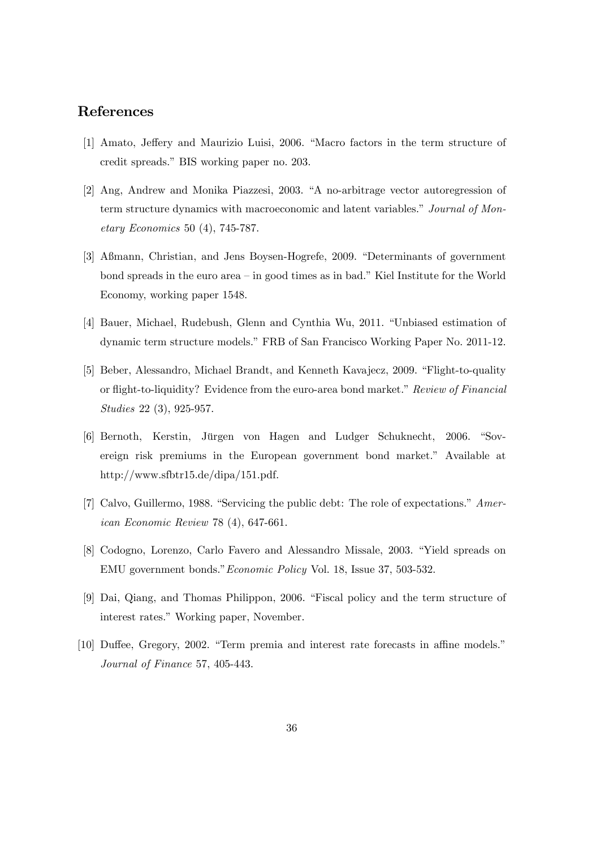#### References

- [1] Amato, Jeffery and Maurizio Luisi, 2006. "Macro factors in the term structure of credit spreads." BIS working paper no. 203.
- [2] Ang, Andrew and Monika Piazzesi, 2003. "A no-arbitrage vector autoregression of term structure dynamics with macroeconomic and latent variables." Journal of Monetary Economics 50 (4), 745-787.
- [3] Aßmann, Christian, and Jens Boysen-Hogrefe, 2009. "Determinants of government bond spreads in the euro area  $-\text{in}$  good times as in bad." Kiel Institute for the World Economy, working paper 1548.
- [4] Bauer, Michael, Rudebush, Glenn and Cynthia Wu, 2011. "Unbiased estimation of dynamic term structure models.îFRB of San Francisco Working Paper No. 2011-12.
- [5] Beber, Alessandro, Michael Brandt, and Kenneth Kavajecz, 2009. "Flight-to-quality or flight-to-liquidity? Evidence from the euro-area bond market." Review of Financial Studies 22 (3), 925-957.
- [6] Bernoth, Kerstin, Jürgen von Hagen and Ludger Schuknecht, 2006. "Sovereign risk premiums in the European government bond market." Available at http://www.sfbtr15.de/dipa/151.pdf.
- [7] Calvo, Guillermo, 1988. "Servicing the public debt: The role of expectations."  $Amer$ ican Economic Review 78 (4), 647-661.
- [8] Codogno, Lorenzo, Carlo Favero and Alessandro Missale, 2003. "Yield spreads on EMU government bonds." *Economic Policy* Vol. 18, Issue 37, 503-532.
- [9] Dai, Qiang, and Thomas Philippon, 2006. "Fiscal policy and the term structure of interest rates." Working paper, November.
- $[10]$  Duffee, Gregory, 2002. "Term premia and interest rate forecasts in affine models." Journal of Finance 57, 405-443.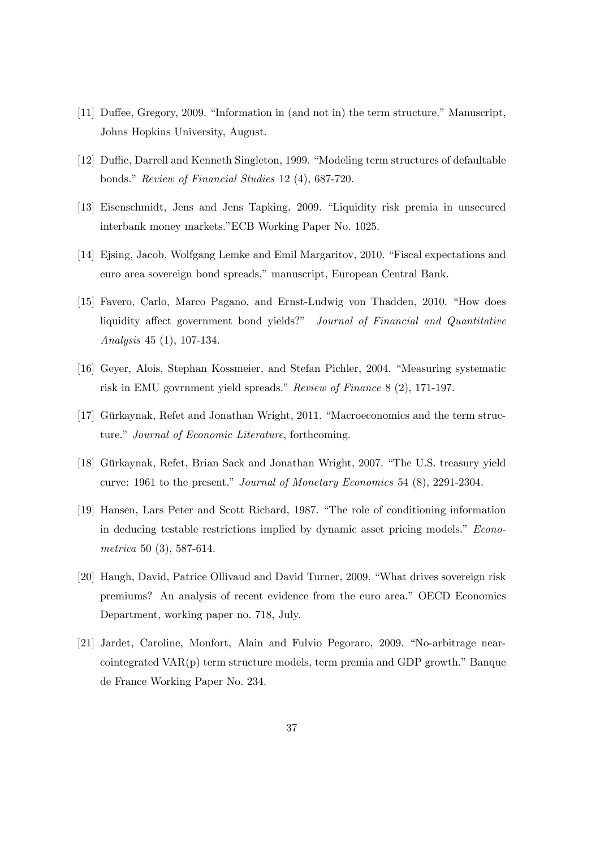- $[11]$  Duffee, Gregory, 2009. "Information in (and not in) the term structure." Manuscript, Johns Hopkins University, August.
- [12] Duffie, Darrell and Kenneth Singleton, 1999. "Modeling term structures of defaultable bonds." Review of Financial Studies  $12 (4)$ , 687-720.
- [13] Eisenschmidt, Jens and Jens Tapking, 2009. "Liquidity risk premia in unsecured interbank money markets."ECB Working Paper No. 1025.
- [14] Ejsing, Jacob, Wolfgang Lemke and Emil Margaritov, 2010. "Fiscal expectations and euro area sovereign bond spreads," manuscript, European Central Bank.
- [15] Favero, Carlo, Marco Pagano, and Ernst-Ludwig von Thadden, 2010. "How does liquidity affect government bond yields?" Journal of Financial and Quantitative Analysis 45 (1), 107-134.
- [16] Geyer, Alois, Stephan Kossmeier, and Stefan Pichler, 2004. "Measuring systematic risk in EMU govrnment yield spreads." Review of Finance  $8 (2)$ , 171-197.
- [17] Gürkaynak, Refet and Jonathan Wright, 2011. "Macroeconomics and the term structure." Journal of Economic Literature, forthcoming.
- [18] Gürkaynak, Refet, Brian Sack and Jonathan Wright, 2007. "The U.S. treasury yield curve:  $1961$  to the present." Journal of Monetary Economics 54 (8), 2291-2304.
- [19] Hansen, Lars Peter and Scott Richard, 1987. "The role of conditioning information in deducing testable restrictions implied by dynamic asset pricing models." Econometrica 50 (3), 587-614.
- [20] Haugh, David, Patrice Ollivaud and David Turner, 2009. "What drives sovereign risk premiums? An analysis of recent evidence from the euro area.î OECD Economics Department, working paper no. 718, July.
- [21] Jardet, Caroline, Monfort, Alain and Fulvio Pegoraro, 2009. "No-arbitrage nearcointegrated  $VAR(p)$  term structure models, term premia and GDP growth." Banque de France Working Paper No. 234.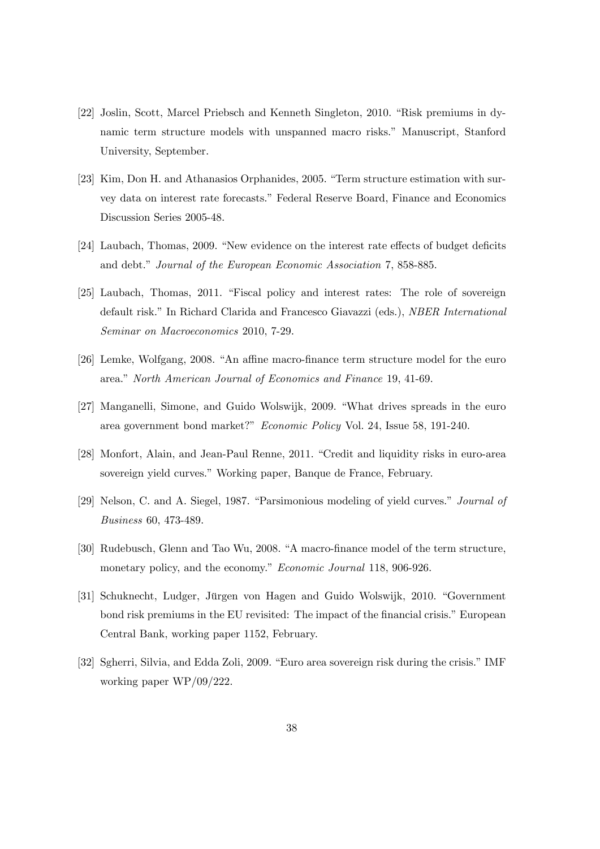- [22] Joslin, Scott, Marcel Priebsch and Kenneth Singleton, 2010. "Risk premiums in dynamic term structure models with unspanned macro risks." Manuscript, Stanford University, September.
- [23] Kim, Don H. and Athanasios Orphanides, 2005. "Term structure estimation with survey data on interest rate forecasts." Federal Reserve Board, Finance and Economics Discussion Series 2005-48.
- [24] Laubach, Thomas, 2009. "New evidence on the interest rate effects of budget deficits and debt." Journal of the European Economic Association 7, 858-885.
- [25] Laubach, Thomas, 2011. "Fiscal policy and interest rates: The role of sovereign default risk." In Richard Clarida and Francesco Giavazzi (eds.), *NBER International* Seminar on Macroeconomics 2010, 7-29.
- $[26]$  Lemke, Wolfgang, 2008. "An affine macro-finance term structure model for the euro area." North American Journal of Economics and Finance 19, 41-69.
- $[27]$  Manganelli, Simone, and Guido Wolswijk, 2009. "What drives spreads in the euro area government bond market?î Economic Policy Vol. 24, Issue 58, 191-240.
- [28] Monfort, Alain, and Jean-Paul Renne, 2011. "Credit and liquidity risks in euro-area sovereign yield curves." Working paper, Banque de France, February.
- [29] Nelson, C. and A. Siegel, 1987. "Parsimonious modeling of yield curves." Journal of Business 60, 473-489.
- [30] Rudebusch, Glenn and Tao Wu, 2008. "A macro-finance model of the term structure, monetary policy, and the economy." Economic Journal 118, 906-926.
- [31] Schuknecht, Ludger, Jürgen von Hagen and Guido Wolswijk, 2010. "Government bond risk premiums in the EU revisited: The impact of the financial crisis." European Central Bank, working paper 1152, February.
- [32] Sgherri, Silvia, and Edda Zoli, 2009. "Euro area sovereign risk during the crisis." IMF working paper WP/09/222.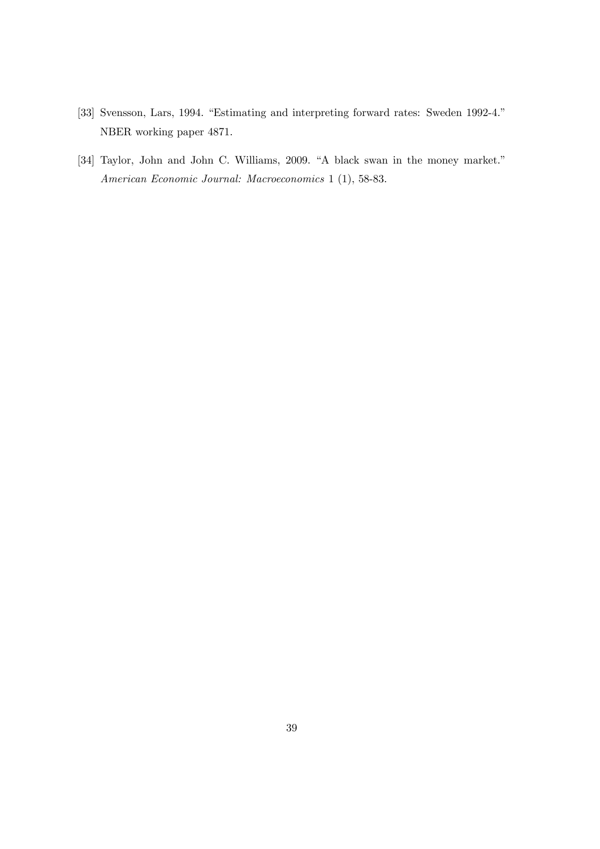- [33] Svensson, Lars, 1994. "Estimating and interpreting forward rates: Sweden 1992-4." NBER working paper 4871.
- [34] Taylor, John and John C. Williams, 2009. "A black swan in the money market." American Economic Journal: Macroeconomics 1 (1), 58-83.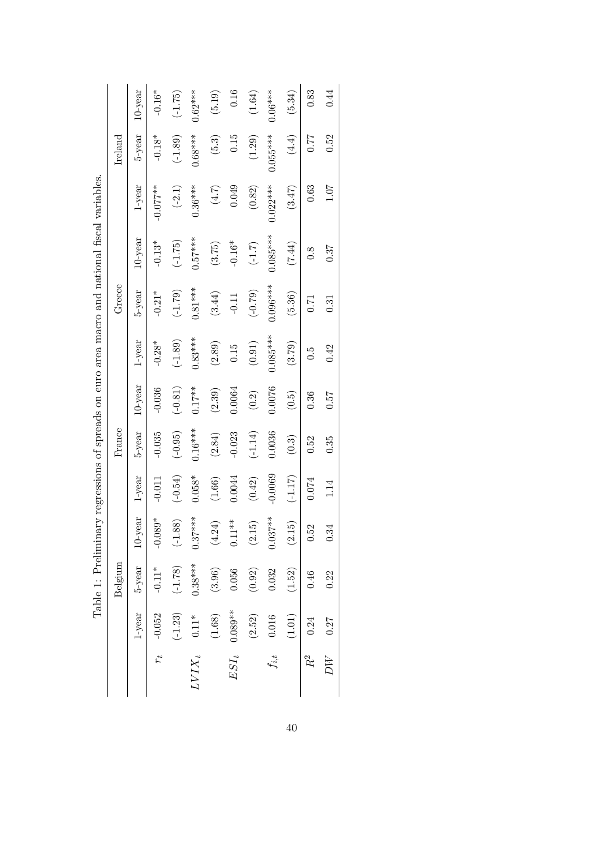|           |                | Belgium   |                      |           | France    |            |              | Greece     |            |            | Ireland              |            |
|-----------|----------------|-----------|----------------------|-----------|-----------|------------|--------------|------------|------------|------------|----------------------|------------|
|           | $1$ -year      | $5$ -year | $10$ -year           | $1$ -year | $5$ -year | $10$ -year | $1$ -year    | 5-year     | $10$ -year | $1$ -year  | $5$ -year            | $10$ -year |
| $r_t$     | $-0.052$       | $-0.11*$  | $-0.089*$            | $-0.011$  | $-0.035$  | $-0.036$   | $-0.28*$     | $-0.21*$   | $-0.13*$   | $-0.077**$ | $-0.18*$             | $-0.16*$   |
|           | $(-1.23)$      | $(-1.78)$ | $(-1.88)$            | $(-0.54)$ | $(-0.95)$ | $(-0.81)$  | $(-1.89)$    | $(-1.79)$  | $(-1.75)$  | $(-2.1)$   | $(-1.89)$            | $(-1.75)$  |
|           | $LVIX_t$ 0.11* | $0.38***$ | $0.37***$            | $0.058*$  | $0.16***$ | $0.17***$  | $0.83***$    | $0.81***$  | $0.57***$  | $0.36***$  | $0.68***$            | $0.62***$  |
|           | $(1.68)$       | (3.96)    | $\left( 4.24\right)$ | $(1.66)$  | (2.84)    | (2.39)     | (2.89)       | (3.44)     | (3.75)     | $(4.7)$    | $(5.3)$              | (5.19)     |
| $ESI_t$   | $0.089**$      | $0.056\,$ | $0.11**$             | 0.0044    | $-0.023$  | 0.0064     | $0.15\,$     | $-0.11$    | $-0.16*$   | 0.049      | $0.15\,$             | $0.16\,$   |
|           | (2.52)         | $(0.92)$  | (2.15)               | $(0.42)$  | $(-1.14)$ | $(0.2)$    | $(0.91)$     | (62.0)     | $(-1.7)$   | $(0.82)$   | $\left( 1.29\right)$ | $(1.64)$   |
| $f_{i,t}$ | 0.016          | 0.032     | $0.037**$            | $-0.0069$ | 0.0036    | 0.0076     | $0.085***$   | $0.096***$ | $0.085***$ | $0.022***$ | $0.055***$           | $0.06***$  |
|           | $(1.01)$       | (1.52)    | (2.15)               | $(-1.17)$ | $(0.3)$   | (0.5)      | (3.79)       | (5.36)     | (7.44)     | (3.47)     | (4.4)                | (5.34)     |
| $R^2$     | 0.24           | 0.46      | 0.52                 | 0.074     | 0.52      | 0.36       | $\ddot{0}$ . | 0.71       | 0.8        | 0.63       | 0.77                 | 0.83       |
| УK        | 0.27           | 0.22      | 0.34                 | 1.14      | 0.35      | 0.57       | 0.42         | 0.31       | 0.37       | 1.07       | 0.52                 | 0.44       |

| Caster Hotel Hotel Hotel Caster Caster Control Control Control Control Control Control Caster Caster Caster Control Control Control Control Control Control Control Control Control Control Control Control Control Control Co<br>.<br>2)<br>2) |
|-------------------------------------------------------------------------------------------------------------------------------------------------------------------------------------------------------------------------------------------------|
|                                                                                                                                                                                                                                                 |
|                                                                                                                                                                                                                                                 |
|                                                                                                                                                                                                                                                 |
|                                                                                                                                                                                                                                                 |
|                                                                                                                                                                                                                                                 |
|                                                                                                                                                                                                                                                 |
|                                                                                                                                                                                                                                                 |
|                                                                                                                                                                                                                                                 |
|                                                                                                                                                                                                                                                 |
|                                                                                                                                                                                                                                                 |
|                                                                                                                                                                                                                                                 |
|                                                                                                                                                                                                                                                 |
|                                                                                                                                                                                                                                                 |
|                                                                                                                                                                                                                                                 |
|                                                                                                                                                                                                                                                 |
|                                                                                                                                                                                                                                                 |
| :<br> <br> <br>                                                                                                                                                                                                                                 |
|                                                                                                                                                                                                                                                 |
|                                                                                                                                                                                                                                                 |
|                                                                                                                                                                                                                                                 |
|                                                                                                                                                                                                                                                 |
| $\ddot{\phantom{a}}$                                                                                                                                                                                                                            |
|                                                                                                                                                                                                                                                 |
|                                                                                                                                                                                                                                                 |
|                                                                                                                                                                                                                                                 |
|                                                                                                                                                                                                                                                 |
| $\mathfrak{g}$                                                                                                                                                                                                                                  |
| Ì                                                                                                                                                                                                                                               |
| ı<br>$\frac{1}{2}$                                                                                                                                                                                                                              |
| i<br>ĺ<br>I                                                                                                                                                                                                                                     |
|                                                                                                                                                                                                                                                 |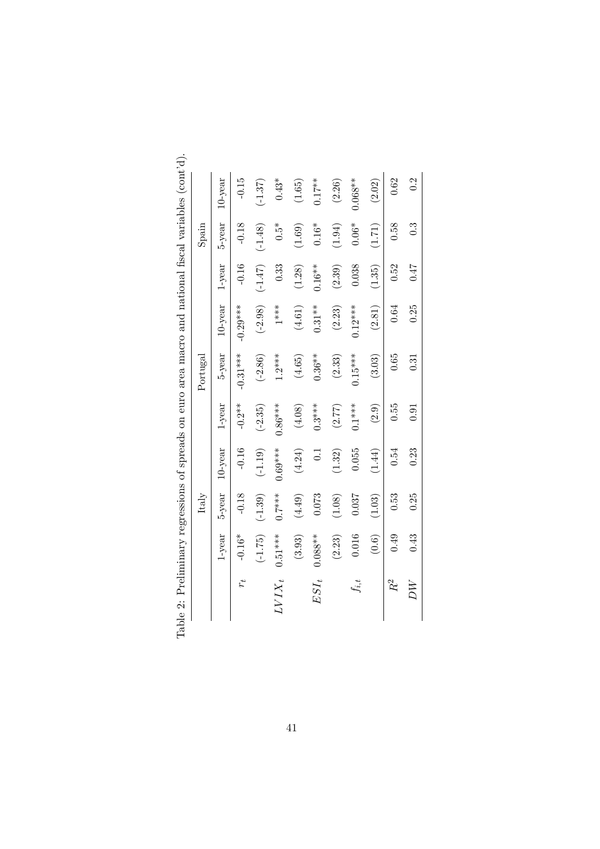|             |            | Italy     |                  |           | Portugal   |            |           | Spain                   |            |
|-------------|------------|-----------|------------------|-----------|------------|------------|-----------|-------------------------|------------|
|             | 1-year     | $5$ -year | $10$ -year       | $1$ -year | $5$ -year  | $10$ -year | $1$ -year | $5$ -year               | $10$ -year |
| $r_{t}$     | $-0.16*$   | $-0.18$   | $-0.16$          | $-0.2**$  | $-0.31***$ | $-0.29***$ | $-0.16$   | $-0.18$                 | $-0.15$    |
|             | $(-1.75)$  | $(-1.39)$ | $(-1.19)$        | $(-2.35)$ | $(-2.86)$  | $(-2.98)$  | $(-1.47)$ | $(-1.48)$               | $(-1.37)$  |
| $L V I X_t$ | $0.51***$  | $0.7***$  | $0.69***$        | $0.86***$ | $1.2***$   | $1$ **     | 0.33      | $\stackrel{*}{\rm 0.5}$ | $0.43*$    |
|             | (3.93)     | (4.49)    | (4.24)           | (4.08)    | (4.65)     | (4.61)     | (1.28)    | (1.69)                  | (1.65)     |
| $ESI_t$     | $0.088***$ | 0.073     | $\overline{0}$ . | $0.3***$  | $0.36***$  | $0.31**$   | $0.16***$ | $0.16*$                 | $0.17***$  |
|             | (2.23)     | (1.08)    | (1.32)           | (2.77)    | (2.33)     | (2.23)     | (2.39)    | (1.94)                  | (2.26)     |
| $f_{i,t}$   | 0.016      | 0.037     | 0.055            | $0.1***$  | $0.15***$  | $0.12***$  | 0.038     | $0.06*$                 | $0.068**$  |
|             | (0.6)      | (1.03)    | (1.44)           | (2.9)     | (3.03)     | (2.81)     | (1.35)    | (1.71)                  | (2.02)     |
| $R^2$       | 0.49       | 0.53      | 0.54             | 0.55      | 0.65       | 0.64       | 0.52      | 0.58                    | 0.62       |
| $\mu_{T}$   | 0.43       | 0.25      | 0.23             | 0.91      | 0.31       | 0.25       | 0.47      | $\ddot{0}$              | 0.2        |

| ı                                   |
|-------------------------------------|
| i                                   |
|                                     |
|                                     |
|                                     |
| j<br>Í                              |
|                                     |
|                                     |
|                                     |
| í                                   |
| į                                   |
| i                                   |
| $\frac{1}{2}$                       |
| ļ                                   |
| i<br>i                              |
|                                     |
| <br> <br> <br>j                     |
| l                                   |
| į                                   |
|                                     |
|                                     |
|                                     |
| $\frac{1}{2}$                       |
|                                     |
|                                     |
|                                     |
| .<br>ו<br>ו<br>¢                    |
| ĺ                                   |
| こくらく くそくとう                          |
| ;<br>;<br>;                         |
|                                     |
|                                     |
| j                                   |
|                                     |
| <br> <br>                           |
|                                     |
|                                     |
|                                     |
| j                                   |
| j                                   |
|                                     |
|                                     |
|                                     |
|                                     |
| $\overline{\phantom{a}}$            |
|                                     |
| Company Company Company             |
|                                     |
|                                     |
|                                     |
|                                     |
|                                     |
|                                     |
| j                                   |
|                                     |
|                                     |
| in a comparable of the company<br>ì |
| $\mathbf{I}$                        |
|                                     |
|                                     |
|                                     |
|                                     |
| l                                   |
| $\frac{1}{2}$                       |
|                                     |
|                                     |
| i<br>C<br>j<br>١                    |
| j                                   |
| is a search of<br>l                 |
|                                     |
|                                     |
| $\frac{1}{2}$                       |
|                                     |
| ׇ֚<br>j<br>֕                        |
|                                     |
|                                     |
| ł                                   |
|                                     |
|                                     |
| ֚֓                                  |
|                                     |
| I                                   |
|                                     |
| l                                   |
|                                     |
| i                                   |
| I<br>l                              |
|                                     |
|                                     |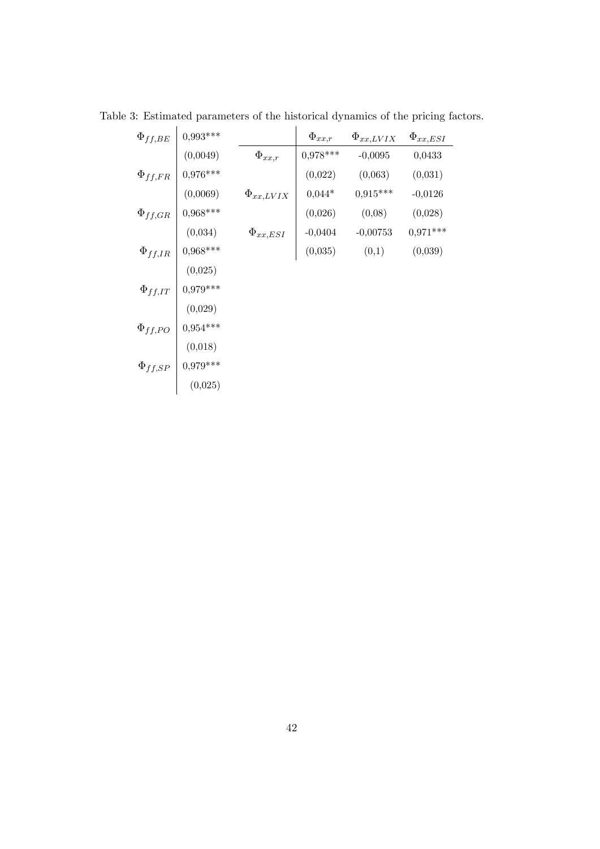| $\Phi_{ff,BE}$ | $0,993***$ |                  | $\Phi_{xx,r}$ | $\Phi_{xx,LVIX}$ | $\Phi_{xx,ESI}$ |
|----------------|------------|------------------|---------------|------------------|-----------------|
|                | (0,0049)   | $\Phi_{xx,r}$    | $0,978***$    | $-0,0095$        | 0,0433          |
| $\Phi_{ff,FR}$ | $0,976***$ |                  | (0,022)       | (0,063)          | (0,031)         |
|                | (0,0069)   | $\Phi_{xx,LVIX}$ | $0,044*$      | $0.915***$       | $-0,0126$       |
| $\Phi_{ff,GR}$ | $0,968***$ |                  | (0,026)       | (0,08)           | (0,028)         |
|                | (0,034)    | $\Phi_{xx,ESI}$  | $-0,0404$     | $-0,00753$       | $0,971***$      |
| $\Phi_{ff,IR}$ | $0,968***$ |                  | (0,035)       | (0,1)            | (0,039)         |
|                | (0,025)    |                  |               |                  |                 |
| $\Phi_{ff,IT}$ | $0,979***$ |                  |               |                  |                 |
|                | (0,029)    |                  |               |                  |                 |
| $\Phi_{ff,PO}$ | $0,954***$ |                  |               |                  |                 |
|                | (0,018)    |                  |               |                  |                 |
| $\Phi_{ff,SP}$ | $0,979***$ |                  |               |                  |                 |
|                | (0,025)    |                  |               |                  |                 |

Table 3: Estimated parameters of the historical dynamics of the pricing factors.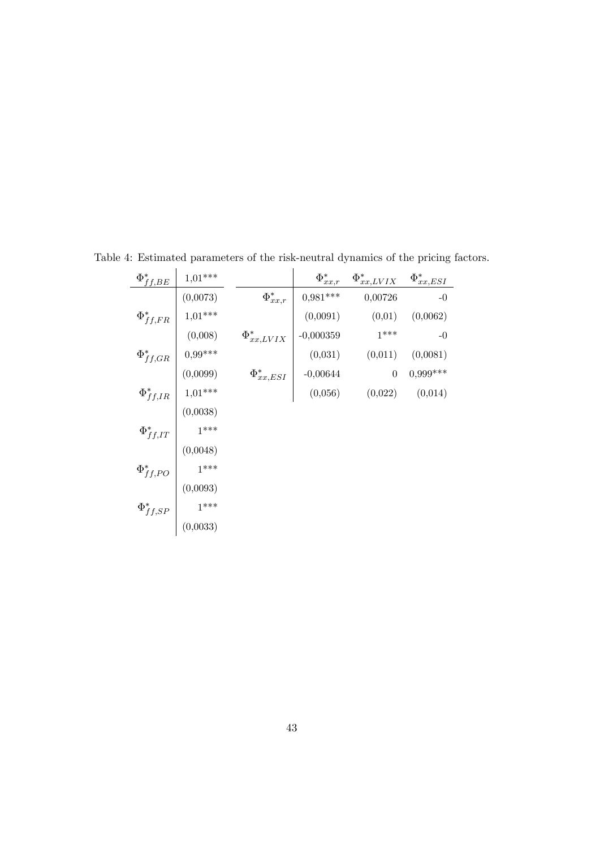| $\Phi _{ff, BE}^{\ast }$ | $1,01***$                                                                                                             |                    | $\Phi_{xx,r}^*$ | $\Phi_{xx,LVIX}^*$ | $\Phi_{xx,ESI}^*$ |
|--------------------------|-----------------------------------------------------------------------------------------------------------------------|--------------------|-----------------|--------------------|-------------------|
|                          | (0,0073)                                                                                                              | $\Phi_{xx,r}^*$    | $0,981***$      | 0,00726            | $-0$              |
| $\Phi_{ff,FR}^*$         | $1,01***$                                                                                                             |                    | (0,0091)        | (0,01)             | (0,0062)          |
|                          | (0,008)                                                                                                               | $\Phi_{xx,LVIX}^*$ | $-0,000359$     | $1***$             | $-0$              |
| $\Phi _{ff,GR}^*$        | $  0.99***$                                                                                                           |                    | (0,031)         | (0,011)            | (0,0081)          |
|                          |                                                                                                                       | $\Phi_{xx,ESI}^*$  | $\Big  0,00644$ | $\theta$           | $0,999***$        |
|                          | $\Phi_{ff,IR}^* \left  \begin{array}{c} (0{,}0099) \\ 1{,}01^{***} \\ (0.51) \end{array} \right.$                     |                    | (0,056)         | (0,022)            | (0,014)           |
|                          | (0,0038)                                                                                                              |                    |                 |                    |                   |
|                          | $1***$                                                                                                                |                    |                 |                    |                   |
| $\Phi_{ff,IT}^*$         |                                                                                                                       |                    |                 |                    |                   |
|                          | $(0,0048)$<br>$1***$                                                                                                  |                    |                 |                    |                   |
| $\Phi_{ff,PO}^*$         |                                                                                                                       |                    |                 |                    |                   |
|                          | $\Phi _{ff,SP}^{\ast } \left  \begin{array}{c} (0{,}0093) \\ 1^{\ast \ast \ast} \\ (0{,}0033) \\ \end{array} \right.$ |                    |                 |                    |                   |
|                          |                                                                                                                       |                    |                 |                    |                   |

Table 4: Estimated parameters of the risk-neutral dynamics of the pricing factors.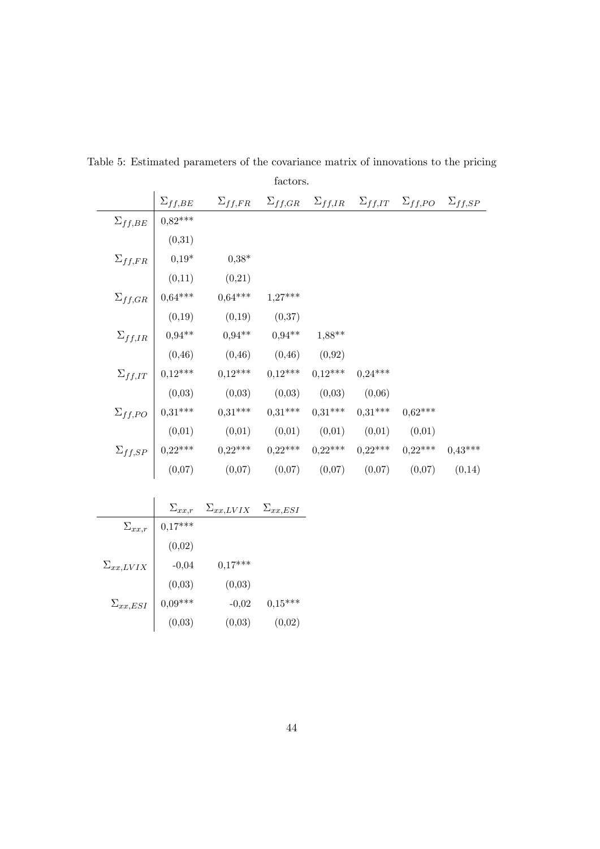|                  |                                                                                     |                  | factors.  |                   |           |                                                                                      |           |
|------------------|-------------------------------------------------------------------------------------|------------------|-----------|-------------------|-----------|--------------------------------------------------------------------------------------|-----------|
|                  | $\Sigma_{ff,BE}$                                                                    | $\Sigma_{ff,FR}$ |           |                   |           | $\Sigma_{ff,GR}$ $\Sigma_{ff,IR}$ $\Sigma_{ff,IT}$ $\Sigma_{ff,PO}$ $\Sigma_{ff,SP}$ |           |
| $\Sigma_{ff,BE}$ | $0.82***$                                                                           |                  |           |                   |           |                                                                                      |           |
|                  | (0,31)                                                                              |                  |           |                   |           |                                                                                      |           |
| $\Sigma_{ff,FR}$ | $0,19*$                                                                             | $0,38*$          |           |                   |           |                                                                                      |           |
|                  | (0,11)                                                                              | (0,21)           |           |                   |           |                                                                                      |           |
| $\Sigma_{ff,GR}$ | $0,64***$                                                                           | $0,64***$        | $1,27***$ |                   |           |                                                                                      |           |
|                  | (0,19)                                                                              | (0,19)           | (0,37)    |                   |           |                                                                                      |           |
| $\Sigma_{ff,IR}$ | $0.94***$                                                                           | $0.94**$         | $0.94***$ | $1,88**$          |           |                                                                                      |           |
|                  | (0, 46)                                                                             | (0, 46)          | (0, 46)   | (0,92)            |           |                                                                                      |           |
|                  | $\Sigma_{ff,IT}$   0,12***                                                          | $0,12***$        | $0,12***$ | $0,12***$         | $0,24***$ |                                                                                      |           |
|                  | (0,03)                                                                              | (0,03)           | (0,03)    | (0,03)            | (0,06)    |                                                                                      |           |
|                  | $\Sigma_{ff,PO}$   0,31***                                                          | $0,31***$        | $0.31***$ | $0,31***$         | $0.31***$ | $0.62***$                                                                            |           |
|                  | (0,01)                                                                              | (0,01)           |           | $(0,01)$ $(0,01)$ | (0,01)    | (0,01)                                                                               |           |
|                  | $\Sigma_{ff,SP} \left  \begin{array}{c} 0.22*** \cr (0.07) \cr \end{array} \right.$ | $0,22***$        | $0,22***$ | $0,22***$         | $0,22***$ | $0.22***$                                                                            | $0.43***$ |
|                  |                                                                                     | (0,07)           | (0,07)    | (0,07)            | (0,07)    | (0,07)                                                                               | (0,14)    |
|                  |                                                                                     |                  |           |                   |           |                                                                                      |           |

Table 5: Estimated parameters of the covariance matrix of innovations to the pricing

|                    | $\Sigma_{xx,r}$ | $\Sigma_{xx,LVIX}$ | $\Sigma_{xx,ESI}$ |
|--------------------|-----------------|--------------------|-------------------|
| $\Sigma_{xx,r}$    | $0,17***$       |                    |                   |
|                    | (0,02)          |                    |                   |
| $\Sigma_{xx,LVIX}$ | $-0,04$         | $0,17***$          |                   |
|                    | (0,03)          | (0,03)             |                   |
| $\Sigma_{xx,ESI}$  | $0.09***$       | $-0,02$            | $0,15***$         |
|                    | (0,03)          | (0,03)             | (0,02)            |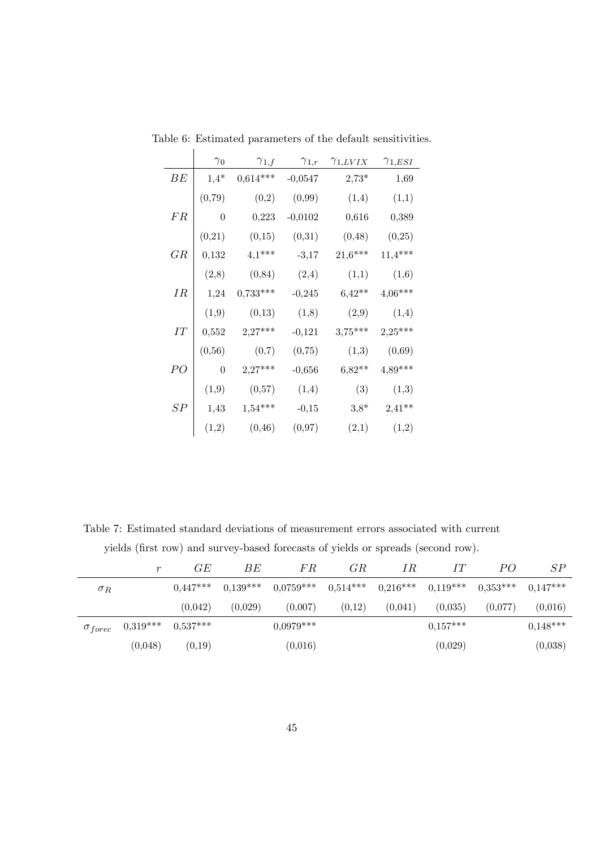|         | $\gamma_0$       | $\gamma_{1,f}$ | $\gamma_{1,r}$ | $\gamma_{1,LVIX}$ | $\gamma_{1,ESI}$ |
|---------|------------------|----------------|----------------|-------------------|------------------|
| ВE      | $1,4*$           | $0,614***$     | $-0,0547$      | $2,73*$           | 1,69             |
|         | (0,79)           | (0,2)          | (0,99)         | (1,4)             | (1,1)            |
| FR      | $\boldsymbol{0}$ | 0,223          | $-0,0102$      | 0,616             | 0,389            |
|         | (0,21)           | (0,15)         | (0,31)         | (0, 48)           | (0,25)           |
| GR      | 0,132            | $4,1***$       | $-3,17$        | $21,6***$         | $11,4***$        |
|         | (2,8)            | (0, 84)        | (2,4)          | (1,1)             | (1,6)            |
| $_{IR}$ | 1,24             | $0,733***$     | $-0,245$       | $6,42**$          | $4,06***$        |
|         | (1,9)            | (0,13)         | (1,8)          | (2,9)             | (1,4)            |
| IТ      | 0,552            | $2,27***$      | $-0,121$       | $3,75***$         | $2,25***$        |
|         | (0, 56)          | (0,7)          | (0,75)         | (1,3)             | (0,69)           |
| PO      | $\overline{0}$   | $2,27***$      | $-0,656$       | $6,82**$          | $4,89***$        |
|         | (1,9)            | (0,57)         | (1,4)          | (3)               | (1,3)            |
| SР      | 1,43             | $1,54***$      | $-0,15$        | $3,8*$            | $2,41**$         |
|         | (1,2)            | (0, 46)        | (0,97)         | (2,1)             | (1,2)            |

Table 6: Estimated parameters of the default sensitivities.  $\overline{\phantom{a}}$ 

Table 7: Estimated standard deviations of measurement errors associated with current yields (first row) and survey-based forecasts of yields or spreads (second row).

|            | r                         | GE         | ВE         | FR          | GR         | ΙR         | IT         | PO         | SP         |
|------------|---------------------------|------------|------------|-------------|------------|------------|------------|------------|------------|
| $\sigma_R$ |                           | $0.447***$ | $0.139***$ | $0.0759***$ | $0.514***$ | $0.216***$ | $0,119***$ | $0.353***$ | $0,147***$ |
|            |                           | (0.042)    | (0,029)    | (0,007)     | (0,12)     | (0,041)    | (0,035)    | (0,077)    | (0,016)    |
|            | $\sigma_{force}$ 0,319*** | $0.537***$ |            | $0.0979***$ |            |            | $0.157***$ |            | $0.148***$ |
|            | (0,048)                   | (0,19)     |            | (0,016)     |            |            | (0,029)    |            | (0,038)    |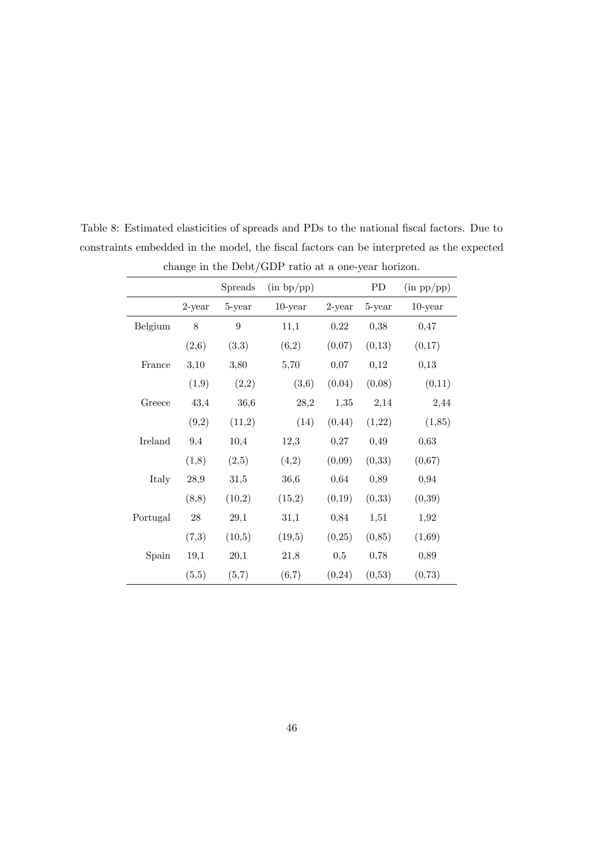|          | $\circ$   |                  |            |           |         |            |
|----------|-----------|------------------|------------|-----------|---------|------------|
|          |           | Spreads          | (in bp(pp) |           | PD      | (in pp(pp) |
|          | $2$ -year | 5-year           | $10$ -year | $2$ -year | 5-year  | $10$ -year |
| Belgium  | $8\,$     | $\boldsymbol{9}$ | 11,1       | 0,22      | 0,38    | 0,47       |
|          | (2,6)     | (3,3)            | (6,2)      | (0,07)    | (0,13)  | (0,17)     |
| France   | 3,10      | 3,80             | 5,70       | 0,07      | 0,12    | 0,13       |
|          | (1,9)     | (2,2)            | (3,6)      | (0,04)    | (0,08)  | (0,11)     |
| Greece   | 43,4      | 36,6             | 28,2       | 1,35      | 2,14    | 2,44       |
|          | (9,2)     | (11,2)           | (14)       | (0, 44)   | (1,22)  | (1,85)     |
| Ireland  | 9,4       | 10,4             | 12,3       | 0,27      | 0,49    | 0,63       |
|          | (1,8)     | (2,5)            | (4,2)      | (0,09)    | (0,33)  | (0,67)     |
| Italy    | 28,9      | 31,5             | 36,6       | 0,64      | 0,89    | 0,94       |
|          | (8,8)     | (10,2)           | (15,2)     | (0,19)    | (0,33)  | (0, 39)    |
| Portugal | $28\,$    | 29,1             | 31,1       | 0,84      | 1,51    | 1,92       |
|          | (7,3)     | (10,5)           | (19,5)     | (0,25)    | (0, 85) | (1,69)     |
| Spain    | 19,1      | 20,1             | 21,8       | 0,5       | 0,78    | 0,89       |
|          | (5,5)     | (5,7)            | (6,7)      | (0, 24)   | (0,53)  | (0,73)     |

Table 8: Estimated elasticities of spreads and PDs to the national fiscal factors. Due to constraints embedded in the model, the fiscal factors can be interpreted as the expected change in the Debt/GDP ratio at a one-year horizon.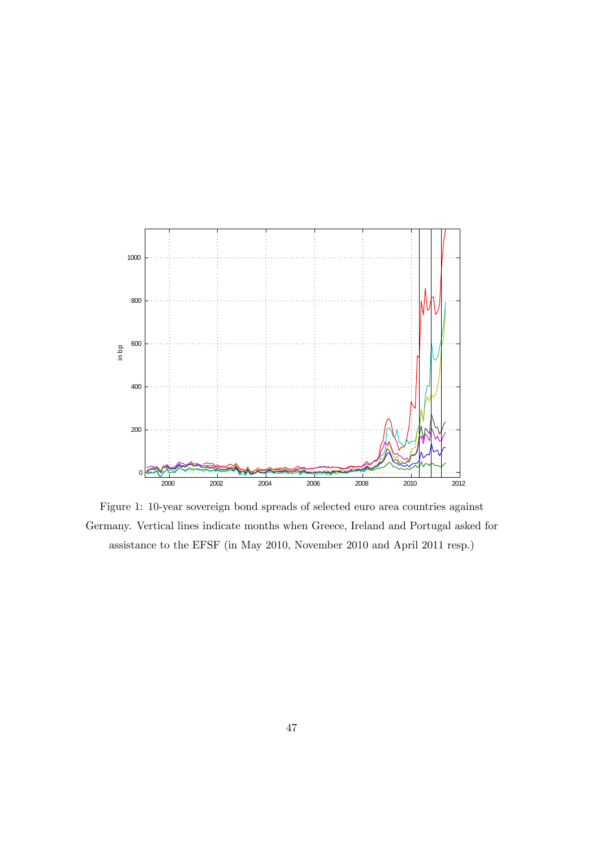

Figure 1: 10-year sovereign bond spreads of selected euro area countries against Germany. Vertical lines indicate months when Greece, Ireland and Portugal asked for assistance to the EFSF (in May 2010, November 2010 and April 2011 resp.)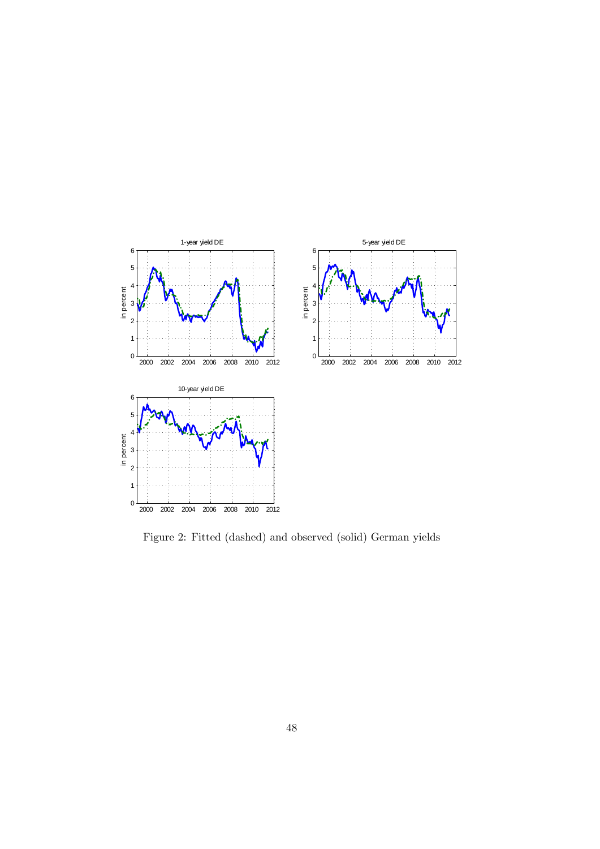

Figure 2: Fitted (dashed) and observed (solid) German yields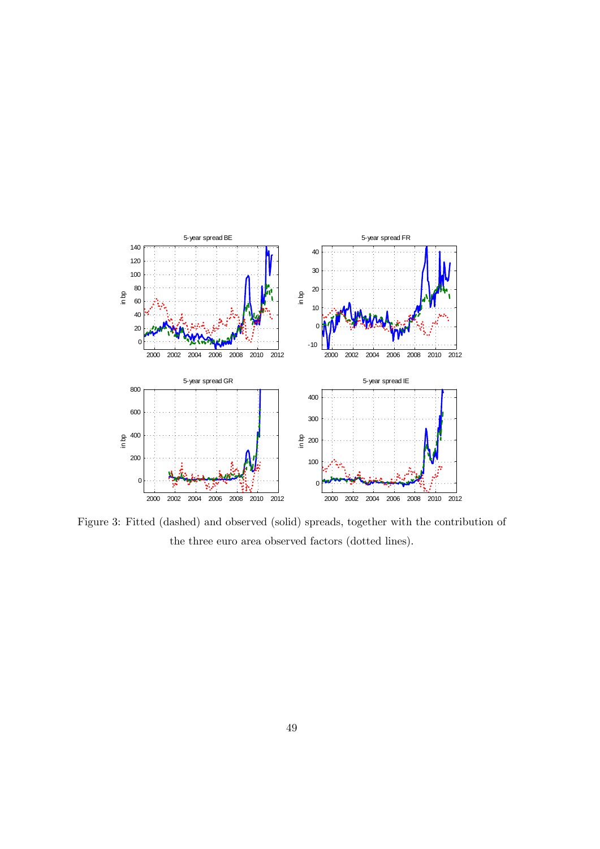

Figure 3: Fitted (dashed) and observed (solid) spreads, together with the contribution of the three euro area observed factors (dotted lines).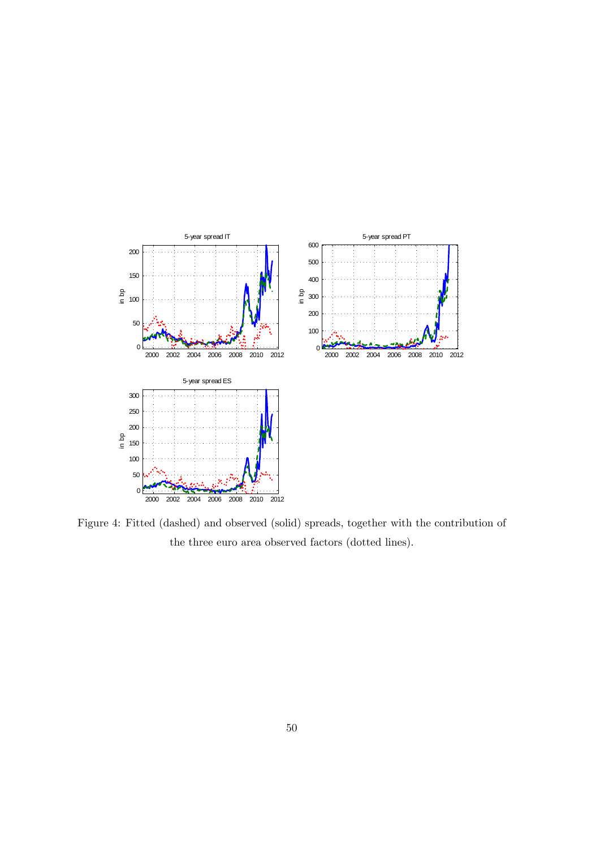

Figure 4: Fitted (dashed) and observed (solid) spreads, together with the contribution of the three euro area observed factors (dotted lines).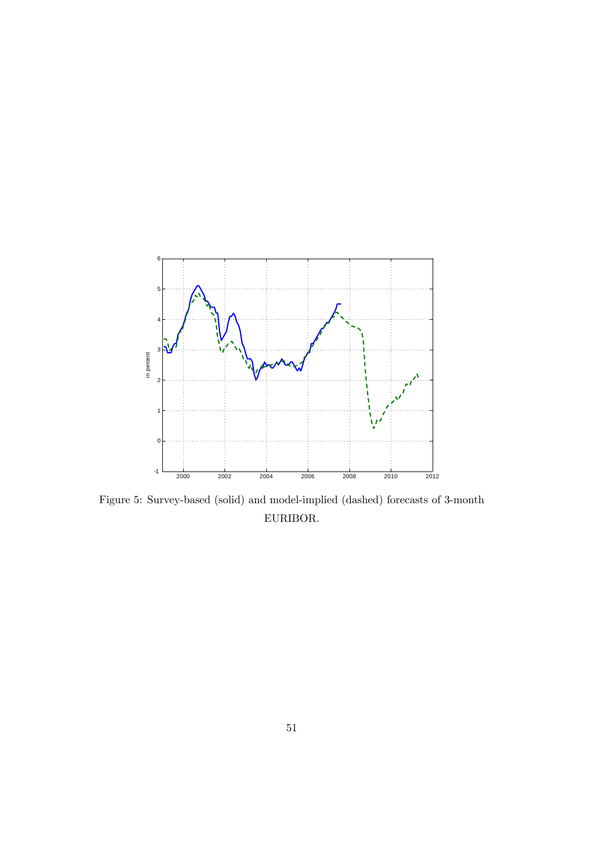

Figure 5: Survey-based (solid) and model-implied (dashed) forecasts of 3-month EURIBOR.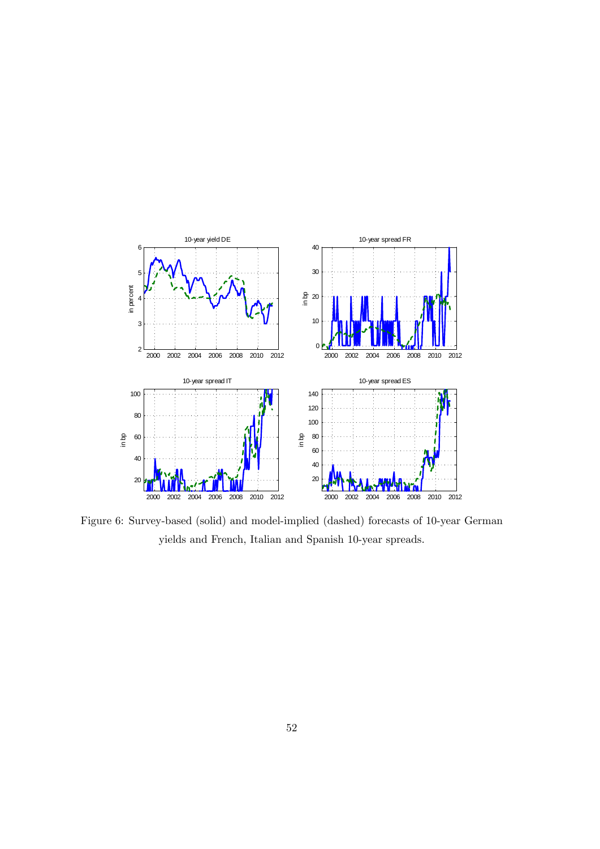

Figure 6: Survey-based (solid) and model-implied (dashed) forecasts of 10-year German yields and French, Italian and Spanish 10-year spreads.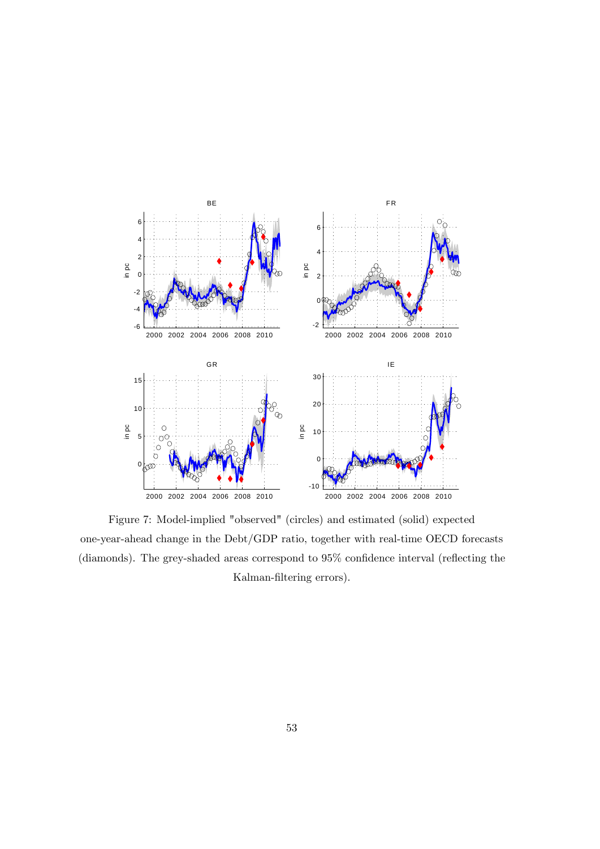

Figure 7: Model-implied "observed" (circles) and estimated (solid) expected one-year-ahead change in the Debt/GDP ratio, together with real-time OECD forecasts (diamonds). The grey-shaded areas correspond to  $95\%$  confidence interval (reflecting the Kalman-filtering errors).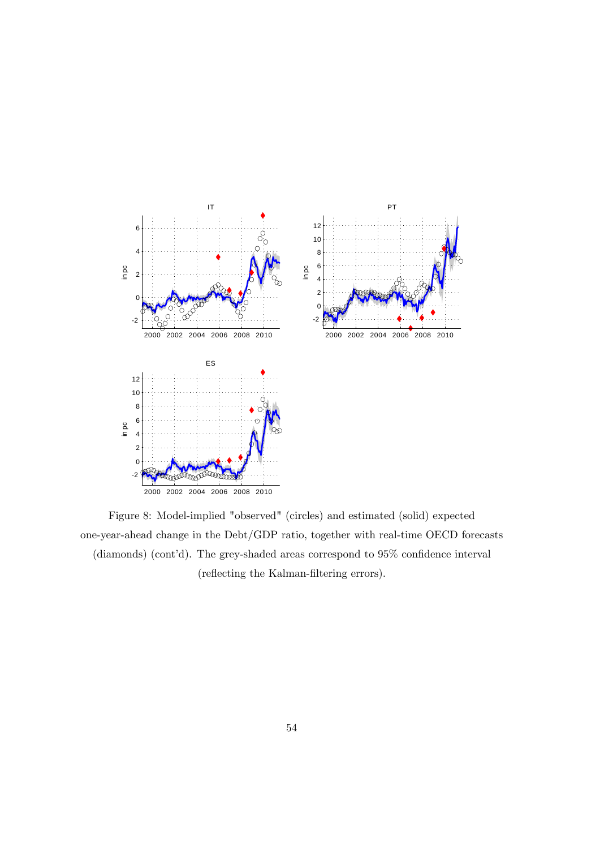

Figure 8: Model-implied "observed" (circles) and estimated (solid) expected one-year-ahead change in the Debt/GDP ratio, together with real-time OECD forecasts (diamonds) (cont'd). The grey-shaded areas correspond to  $95\%$  confidence interval (reflecting the Kalman-filtering errors).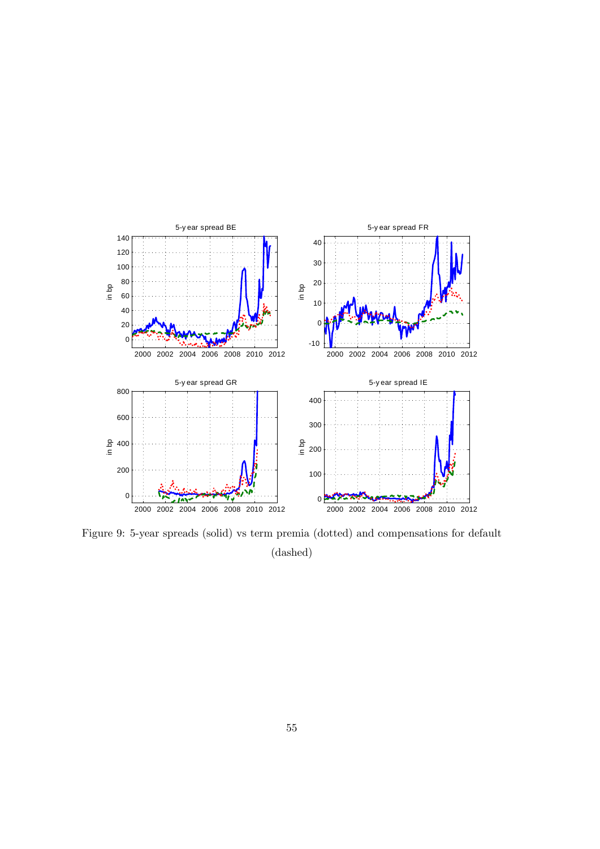

Figure 9: 5-year spreads (solid) vs term premia (dotted) and compensations for default (dashed)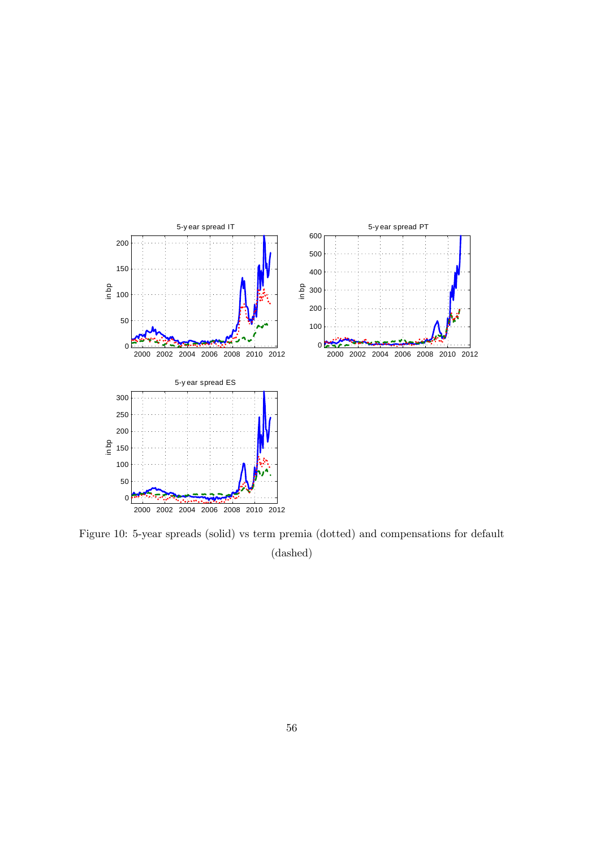

Figure 10: 5-year spreads (solid) vs term premia (dotted) and compensations for default (dashed)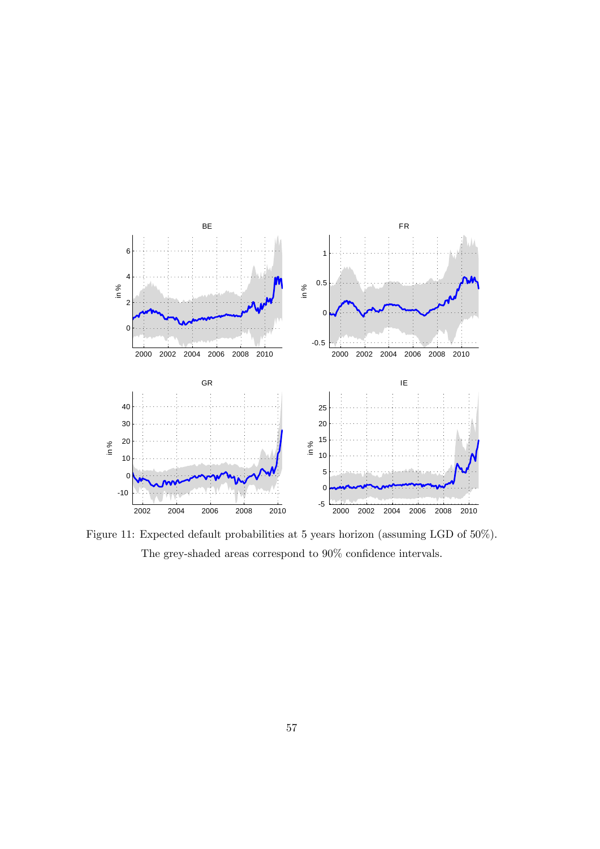

Figure 11: Expected default probabilities at 5 years horizon (assuming LGD of 50%). The grey-shaded areas correspond to  $90\%$  confidence intervals.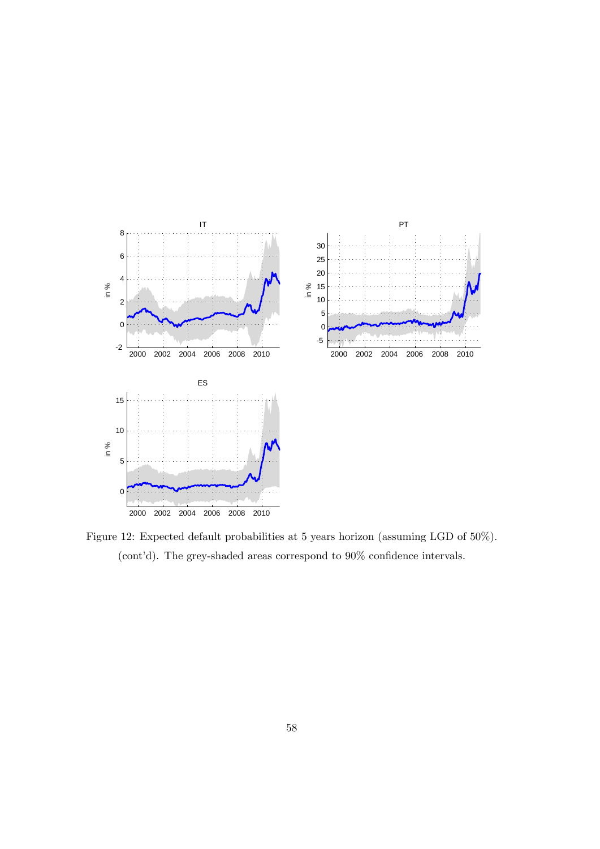

Figure 12: Expected default probabilities at 5 years horizon (assuming LGD of 50%). (cont'd). The grey-shaded areas correspond to  $90\%$  confidence intervals.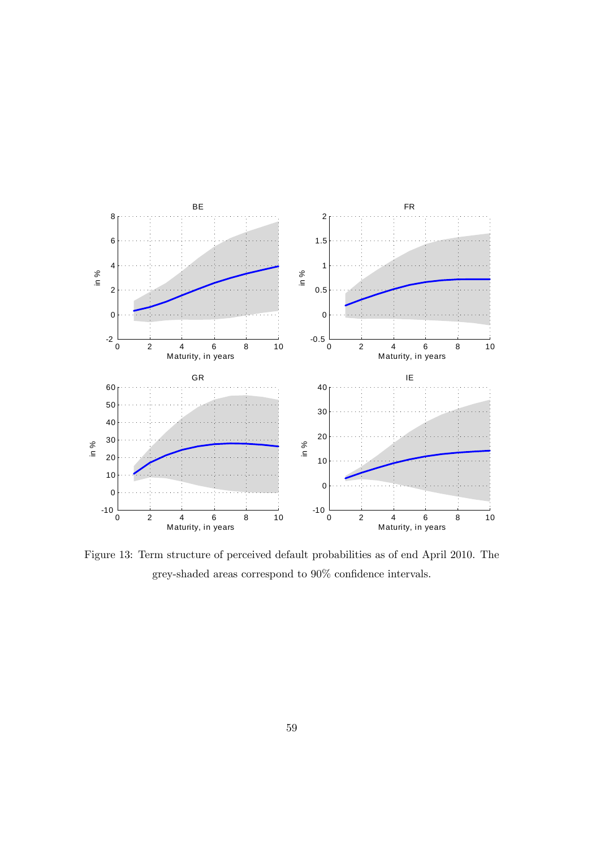

Figure 13: Term structure of perceived default probabilities as of end April 2010. The grey-shaded areas correspond to  $90\%$  confidence intervals.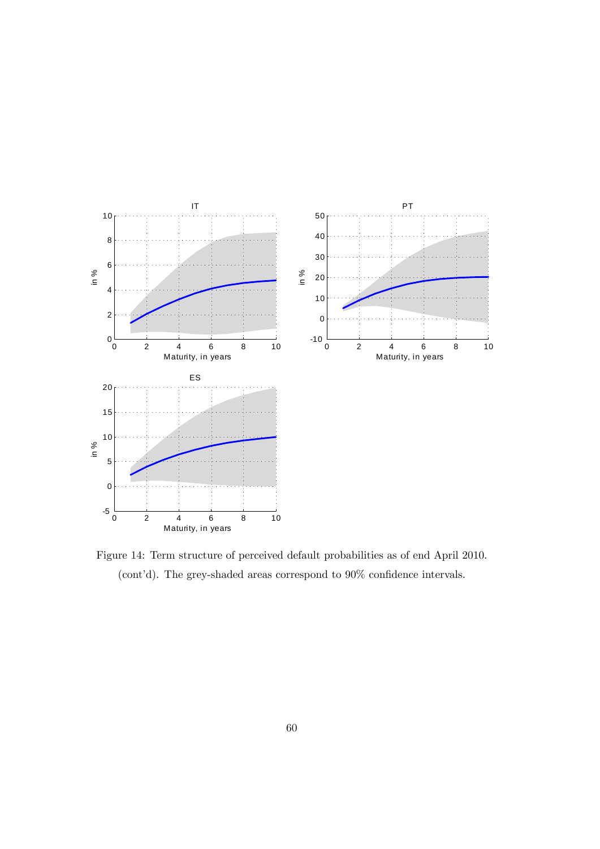

Figure 14: Term structure of perceived default probabilities as of end April 2010. (cont'd). The grey-shaded areas correspond to  $90\%$  confidence intervals.